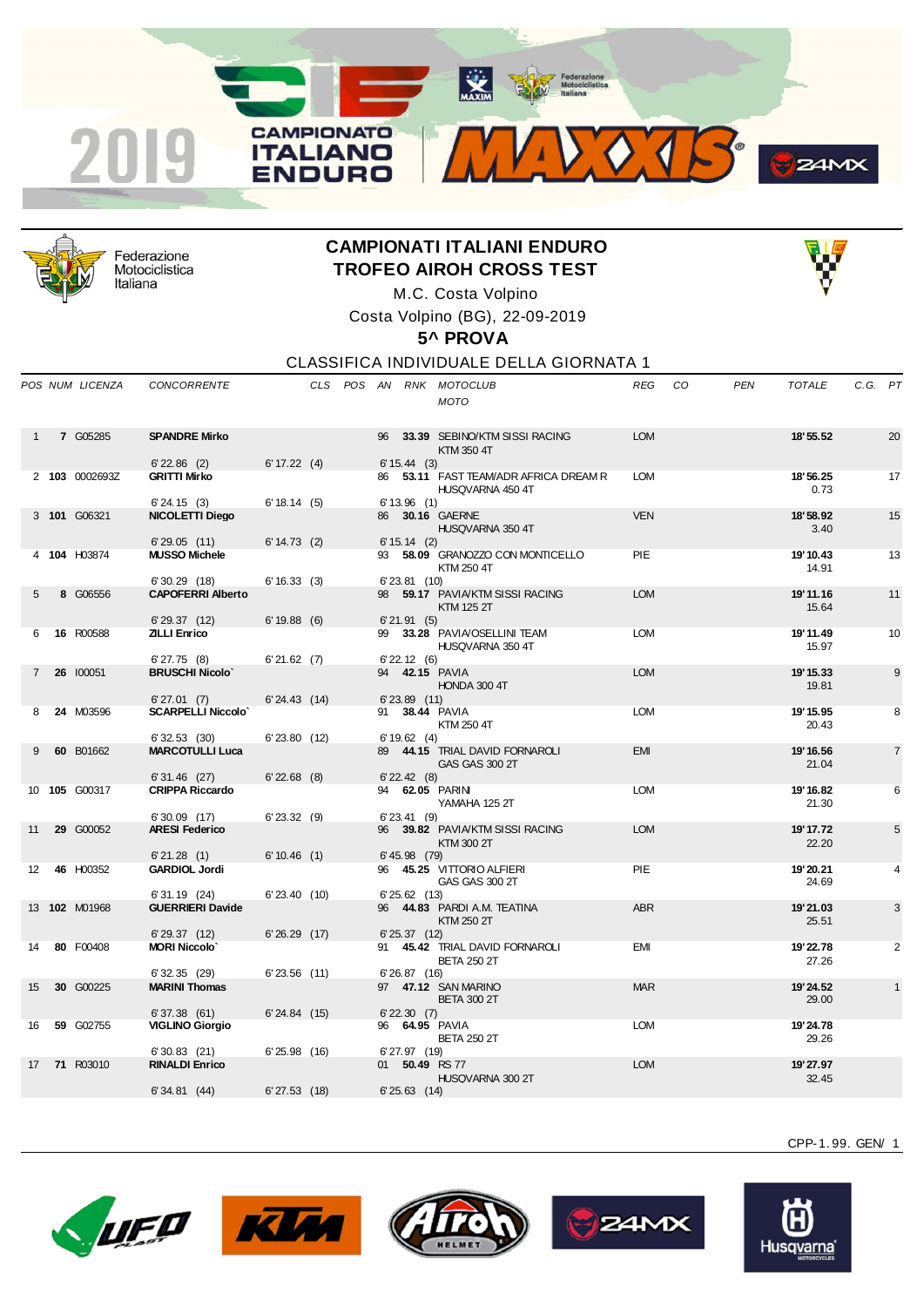



Federazione Motociclistica Italiana

## **CAMPIONATI ITALIANI ENDURO TROFEO AIROH CROSS TEST**



M.C. Costa Volpino Costa Volpino (BG), 22-09-2019

## **5^ PROVA**

## CLASSIFICA INDIVIDUALE DELLA GIORNATA 1

|             | POS NUM LICENZA | <b>CONCORRENTE</b>                       |                   |  |    |                   | CLS POS AN RNK MOTOCLUB<br><b>MOTO</b>                    | REG        | CO. | <b>PEN</b> | <b>TOTALE</b>      | C.G. PT |                |
|-------------|-----------------|------------------------------------------|-------------------|--|----|-------------------|-----------------------------------------------------------|------------|-----|------------|--------------------|---------|----------------|
|             | 7 G05285        | <b>SPANDRE Mirko</b>                     |                   |  | 96 |                   | 33.39 SEBINO/KTM SISSI RACING<br>KTM 350 4T               | <b>LOM</b> |     |            | 18' 55.52          |         | 20             |
|             |                 | $6'$ 22.86 (2)                           | 6' 17.22 (4)      |  |    | $6' 15.44$ (3)    |                                                           |            |     |            |                    |         |                |
|             | 2 103 0002693Z  | <b>GRITTI Mirko</b><br>6'24.15(3)        | 6' 18.14 (5)      |  |    | 6'13.96(1)        | 86 53.11 FAST TEAM/ADR AFRICA DREAM R<br>HUSQVARNA 450 4T | <b>LOM</b> |     |            | 18' 56.25<br>0.73  |         | 17             |
|             | 3 101 G06321    | NICOLETTI Diego                          |                   |  |    |                   | 86 30.16 GAERNE<br>HUSQVARNA 350 4T                       | <b>VEN</b> |     |            | 18'58.92<br>3.40   |         | 15             |
|             |                 | 6'29.05(11)                              | $6' 14.73$ (2)    |  |    | $6' 15.14$ (2)    |                                                           |            |     |            |                    |         |                |
|             | 4 104 H03874    | <b>MUSSO Michele</b>                     |                   |  |    |                   | 93 58.09 GRANOZZO CON MONTICELLO<br>KTM 250 4T            | <b>PIE</b> |     |            | 19' 10.43<br>14.91 |         | 13             |
|             |                 | $6'30.29$ (18)                           | $6' 16.33$ (3)    |  |    | $6'$ 23.81 $(10)$ |                                                           |            |     |            |                    |         |                |
| 5           | 8 G06556        | <b>CAPOFERRI Alberto</b>                 |                   |  | 98 |                   | 59.17 PAVIA/KTM SISSI RACING<br><b>KTM 125 2T</b>         | <b>LOM</b> |     |            | 19' 11.16<br>15.64 |         | 11             |
|             |                 | 6'29.37(12)                              | 6'19.88(6)        |  |    | 6'21.91(5)        |                                                           |            |     |            |                    |         |                |
| 6           | 16 R00588       | <b>ZILLI Enrico</b><br>$6'$ 27.75 $(8)$  | 6'21.62(7)        |  | 99 | $6'$ 22.12 (6)    | 33.28 PAVIA/OSELLINI TEAM<br>HUSQVARNA 350 4T             | <b>LOM</b> |     |            | 19' 11.49<br>15.97 |         | 10             |
| $7^{\circ}$ | 26 100051       | <b>BRUSCHI Nicolo'</b>                   |                   |  |    |                   | 94 <b>42.15 PAVIA</b>                                     | <b>LOM</b> |     |            | 19' 15.33          |         | 9              |
|             |                 |                                          |                   |  |    |                   | HONDA 300 4T                                              |            |     |            | 19.81              |         |                |
|             |                 | 6'27.01(7)                               | $6' 24.43$ (14)   |  |    | $6'$ 23.89 $(11)$ |                                                           |            |     |            |                    |         |                |
| 8           | 24 M03596       | <b>SCARPELLI Niccolo'</b>                |                   |  | 91 |                   | 38.44 PAVIA<br>KTM 250 4T                                 | <b>LOM</b> |     |            | 19' 15.95<br>20.43 |         | 8              |
|             |                 | 6'32.53(30)                              | $6'$ 23.80 $(12)$ |  |    | 6' 19.62 (4)      |                                                           |            |     |            |                    |         |                |
| 9           | 60 B01662       | <b>MARCOTULLI Luca</b>                   |                   |  | 89 |                   | 44.15 TRIAL DAVID FORNAROLI<br><b>GAS GAS 300 2T</b>      | <b>EMI</b> |     |            | 19' 16.56<br>21.04 |         | $\overline{7}$ |
|             | 10 105 G00317   | $6'31.46$ (27)<br><b>CRIPPA Riccardo</b> | $6'$ 22.68 $(8)$  |  |    | $6'$ 22.42 $(8)$  | 94 62.05 PARIN                                            | <b>LOM</b> |     |            | 19' 16.82          |         | 6              |
|             |                 | $6'30.09$ (17)                           | $6'$ 23.32 (9)    |  |    | $6'$ 23.41 (9)    | YAMAHA 125 2T                                             |            |     |            | 21.30              |         |                |
| 11          | 29 G00052       | <b>ARESI Federico</b>                    |                   |  |    |                   | 96 39.82 PAVIA/KTM SISSI RACING                           | <b>LOM</b> |     |            | 19' 17.72          |         | 5              |
|             |                 |                                          |                   |  |    |                   | KTM 300 2T                                                |            |     |            | 22.20              |         |                |
|             |                 | 6'21.28(1)                               | 6'10.46(1)        |  |    | $6' 45.98$ (79)   |                                                           |            |     |            |                    |         |                |
| 12          | 46 H00352       | <b>GARDIOL Jordi</b>                     |                   |  | 96 |                   | 45.25 VITTORIO ALFIERI<br>GAS GAS 300 2T                  | <b>PIE</b> |     |            | 19'20.21<br>24.69  |         | 4              |
|             |                 | 6'31.19(24)                              | $6'$ 23.40 $(10)$ |  |    | 6'25.62(13)       |                                                           |            |     |            |                    |         |                |
|             | 13 102 M01968   | <b>GUERRIERI Davide</b>                  |                   |  | 96 |                   | 44.83 PARDI A.M. TEATINA<br>KTM 250 2T                    | <b>ABR</b> |     |            | 19'21.03<br>25.51  |         | 3              |
| 14          | 80 F00408       | 6'29.37(12)<br><b>MORI Niccolo'</b>      | 6'26.29(17)       |  | 91 | $6'$ 25.37 $(12)$ | 45.42 TRIAL DAVID FORNAROLI                               | <b>EMI</b> |     |            | 19' 22.78          |         | 2              |
|             |                 | 6'32.35(29)                              | $6'$ 23.56 $(11)$ |  |    | 6'26.87(16)       | <b>BETA 250 2T</b>                                        |            |     |            | 27.26              |         |                |
| 15          | 30 G00225       | <b>MARINI Thomas</b>                     |                   |  |    |                   | 97 47.12 SAN MARINO                                       | <b>MAR</b> |     |            | 19'24.52           |         | $\mathbf{1}$   |
|             |                 | 6'37.38(61)                              | 6'24.84(15)       |  |    | $6'$ 22.30 $(7)$  | <b>BETA 300 2T</b>                                        |            |     |            | 29.00              |         |                |
| 16          | 59 G02755       | <b>VIGLINO Giorgio</b>                   |                   |  |    |                   | 96 64.95 PAVIA                                            | <b>LOM</b> |     |            | 19'24.78           |         |                |
|             |                 | $6'30.83$ (21)                           | 6'25.98(16)       |  |    | 6'27.97 (19)      | <b>BETA 250 2T</b>                                        |            |     |            | 29.26              |         |                |
| 17          | 71 R03010       | <b>RINALDI Enrico</b>                    |                   |  | 01 |                   | 50.49 RS 77                                               | <b>LOM</b> |     |            | 19'27.97           |         |                |
|             |                 | 6'34.81(44)                              | $6'$ 27.53 $(18)$ |  |    | $6'$ 25.63 $(14)$ | HUSQVARNA 300 2T                                          |            |     |            | 32.45              |         |                |
|             |                 |                                          |                   |  |    |                   |                                                           |            |     |            |                    |         |                |









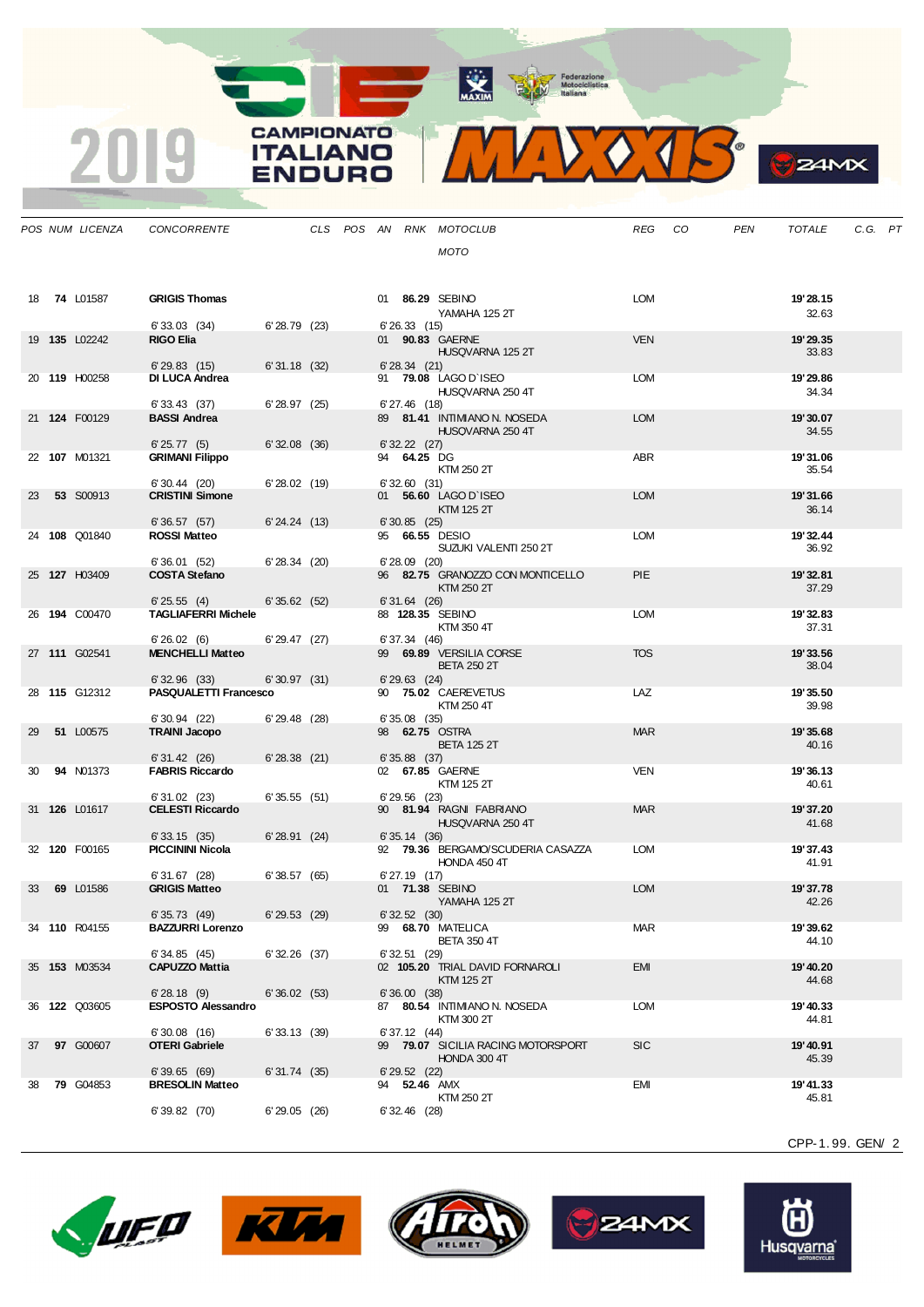**CAMPIONATO** 

**ITALIANO** ENDURO

2019



| IМВ<br>C<br>- |
|---------------|
|               |

|    | POS NUM LICENZA      | CONCORRENTE                               |                |  |                   | CLS POS AN RNK MOTOCLUB                           | REG CO     | PEN | TOTALE            | C.G. PT |  |
|----|----------------------|-------------------------------------------|----------------|--|-------------------|---------------------------------------------------|------------|-----|-------------------|---------|--|
|    |                      |                                           |                |  |                   | <b>MOTO</b>                                       |            |     |                   |         |  |
|    |                      |                                           |                |  |                   |                                                   |            |     |                   |         |  |
|    |                      | <b>GRIGIS Thomas</b>                      |                |  |                   |                                                   | LOM        |     |                   |         |  |
|    | 18 74 L01587         |                                           |                |  |                   | 01 86.29 SEBINO<br>YAMAHA 125 2T                  |            |     | 19'28.15<br>32.63 |         |  |
|    |                      | 6'33.03 (34)                              | 6'28.79(23)    |  | 6'26.33(15)       |                                                   |            |     |                   |         |  |
|    | 19 135 L02242        | <b>RIGO Elia</b>                          |                |  |                   | 01 90.83 GAERNE<br>HUSQVARNA 125 2T               | <b>VEN</b> |     | 19'29.35<br>33.83 |         |  |
|    |                      | 6'29.83(15)                               | 6'31.18(32)    |  | 6'28.34(21)       |                                                   |            |     |                   |         |  |
|    | 20 119 H00258        | <b>DI LUCA Andrea</b>                     |                |  |                   | 91 79.08 LAGO D'ISEO                              | <b>LOM</b> |     | 19'29.86          |         |  |
|    |                      | 6'33.43(37)                               | 6'28.97(25)    |  | $6'$ 27.46 $(18)$ | HUSQVARNA 250 4T                                  |            |     | 34.34             |         |  |
|    | 21 124 F00129        | <b>BASSI Andrea</b>                       |                |  |                   | 89 81.41 INTIMIANO N. NOSEDA                      | <b>LOM</b> |     | 19'30.07          |         |  |
|    |                      | 6'25.77(5)                                | 6'32.08(36)    |  | 6' 32.22 (27)     | HUSQVARNA 250 4T                                  |            |     | 34.55             |         |  |
|    | 22 107 M01321        | <b>GRIMANI Filippo</b>                    |                |  | 94 64.25 DG       |                                                   | <b>ABR</b> |     | 19'31.06          |         |  |
|    |                      | $6'30.44$ (20)                            | 6'28.02(19)    |  | 6'32.60(31)       | KTM 250 2T                                        |            |     | 35.54             |         |  |
|    | <b>53 S00913</b>     | <b>CRISTINI Simone</b>                    |                |  |                   | 01 56.60 LAGO D'ISEO                              | <b>LOM</b> |     | 19'31.66          |         |  |
|    |                      |                                           |                |  |                   | KTM 125 2T                                        |            |     | 36.14             |         |  |
|    | 24 108 Q01840        | 6'36.57(57)<br><b>ROSSI Matteo</b>        | 6'24.24(13)    |  | 6'30.85(25)       | 95 66.55 DESIO                                    | <b>LOM</b> |     | 19'32.44          |         |  |
|    |                      |                                           |                |  |                   | SUZUKI VALENTI 250 2T                             |            |     | 36.92             |         |  |
|    | 25 127 H03409        | 6'36.01(52)<br><b>COSTA Stefano</b>       | 6'28.34(20)    |  | $6'28.09$ (20)    | 96 82.75 GRANOZZO CON MONTICELLO                  | <b>PIE</b> |     | 19'32.81          |         |  |
|    |                      |                                           |                |  |                   | KTM 250 2T                                        |            |     | 37.29             |         |  |
|    | 26 194 C00470        | 6'25.55(4)<br><b>TAGLIAFERRI Michele</b>  | 6'35.62(52)    |  | $6'31.64$ (26)    | 88 128.35 SEBINO                                  | <b>LOM</b> |     | 19'32.83          |         |  |
|    |                      |                                           |                |  |                   | KTM 350 4T                                        |            |     | 37.31             |         |  |
|    | 27 111 G02541        | 6'26.02(6)<br><b>MENCHELLI Matteo</b>     | 6'29.47(27)    |  | 6'37.34(46)       | 99 69.89 VERSILIA CORSE                           | <b>TOS</b> |     | 19'33.56          |         |  |
|    |                      |                                           |                |  |                   | <b>BETA 250 2T</b>                                |            |     | 38.04             |         |  |
|    | 28 115 G12312        | 6'32.96(33)<br>PASQUALETTI Francesco      | 6'30.97(31)    |  | $6'29.63$ (24)    | 90 75.02 CAEREVETUS                               | LAZ        |     | 19'35.50          |         |  |
|    |                      |                                           |                |  |                   | KTM 250 4T                                        |            |     | 39.98             |         |  |
| 29 | 51 L00575            | $6'30.94$ (22)<br><b>TRAINI Jacopo</b>    | 6'29.48(28)    |  | 6'35.08(35)       | 98 62.75 OSTRA                                    | <b>MAR</b> |     | 19'35.68          |         |  |
|    |                      |                                           |                |  |                   | <b>BETA 125 2T</b>                                |            |     | 40.16             |         |  |
| 30 | <b>94 N01373</b>     | 6'31.42(26)<br><b>FABRIS Riccardo</b>     | 6'28.38(21)    |  | $6'35.88$ (37)    | 02 67.85 GAERNE                                   | <b>VEN</b> |     | 19'36.13          |         |  |
|    |                      |                                           |                |  |                   | KTM 125 2T                                        |            |     | 40.61             |         |  |
|    | 31 126 L01617        | $6'31.02$ (23)<br><b>CELESTI Riccardo</b> | 6'35.55(51)    |  | $6'29.56$ (23)    | 90 81.94 RAGNI FABRIANO                           | <b>MAR</b> |     | 19'37.20          |         |  |
|    |                      |                                           |                |  |                   | HUSQVARNA 250 4T                                  |            |     | 41.68             |         |  |
|    |                      | 6'33.15(35)                               | 6'28.91(24)    |  | 6'35.14(36)       |                                                   |            |     |                   |         |  |
|    | 32 120 F00165        | <b>PICCININI Nicola</b>                   |                |  |                   | 92 79.36 BERGAMO/SCUDERIA CASAZZA<br>HONDA 450 4T | <b>LOM</b> |     | 19'37.43<br>41.91 |         |  |
|    |                      | 6'31.67(28)                               | 6'38.57(65)    |  | $6'$ 27.19 $(17)$ |                                                   |            |     |                   |         |  |
| 33 | 69 L01586            | <b>GRIGIS Matteo</b>                      |                |  |                   | 01 71.38 SEBINO<br>YAMAHA 125 2T                  | <b>LOM</b> |     | 19'37.78<br>42.26 |         |  |
|    |                      | 6' 35.73 (49)                             | 6'29.53(29)    |  | 6'32.52(30)       |                                                   |            |     |                   |         |  |
|    | 34 110 R04155        | <b>BAZZURRI Lorenzo</b>                   |                |  |                   | 99 68.70 MATELICA<br><b>BETA 350 4T</b>           | MAR        |     | 19'39.62<br>44.10 |         |  |
|    |                      | 6'34.85(45)                               | $6'32.26$ (37) |  | 6'32.51(29)       |                                                   |            |     |                   |         |  |
|    | 35 153 M03534        | <b>CAPUZZO Mattia</b>                     |                |  |                   | 02 105.20 TRIAL DAVID FORNAROLI<br>KTM 125 2T     | <b>EMI</b> |     | 19'40.20<br>44.68 |         |  |
|    |                      | 6'28.18(9)                                | 6'36.02(53)    |  | 6'36.00(38)       |                                                   |            |     |                   |         |  |
|    | 36 <b>122</b> Q03605 | <b>ESPOSTO Alessandro</b>                 |                |  |                   | 87 80.54 INTIMIANO N. NOSEDA<br>KTM 300 2T        | <b>LOM</b> |     | 19'40.33<br>44.81 |         |  |
|    |                      | 6'30.08(16)                               | 6'33.13(39)    |  | 6'37.12(44)       |                                                   |            |     |                   |         |  |
| 37 | 97 G00607            | <b>OTERI Gabriele</b>                     |                |  |                   | 99 79.07 SICILIA RACING MOTORSPORT                | <b>SIC</b> |     | 19' 40.91         |         |  |
|    |                      | 6'39.65(69)                               | 6'31.74(35)    |  | $6'$ 29.52 $(22)$ | HONDA 300 4T                                      |            |     | 45.39             |         |  |
| 38 | <b>79 G04853</b>     | <b>BRESOLIN Matteo</b>                    |                |  | 94 52.46 AMX      |                                                   | <b>EMI</b> |     | 19' 41.33         |         |  |
|    |                      | 6'39.82(70)                               | 6'29.05(26)    |  | $6'32.46$ (28)    | KTM 250 2T                                        |            |     | 45.81             |         |  |
|    |                      |                                           |                |  |                   |                                                   |            |     |                   |         |  |









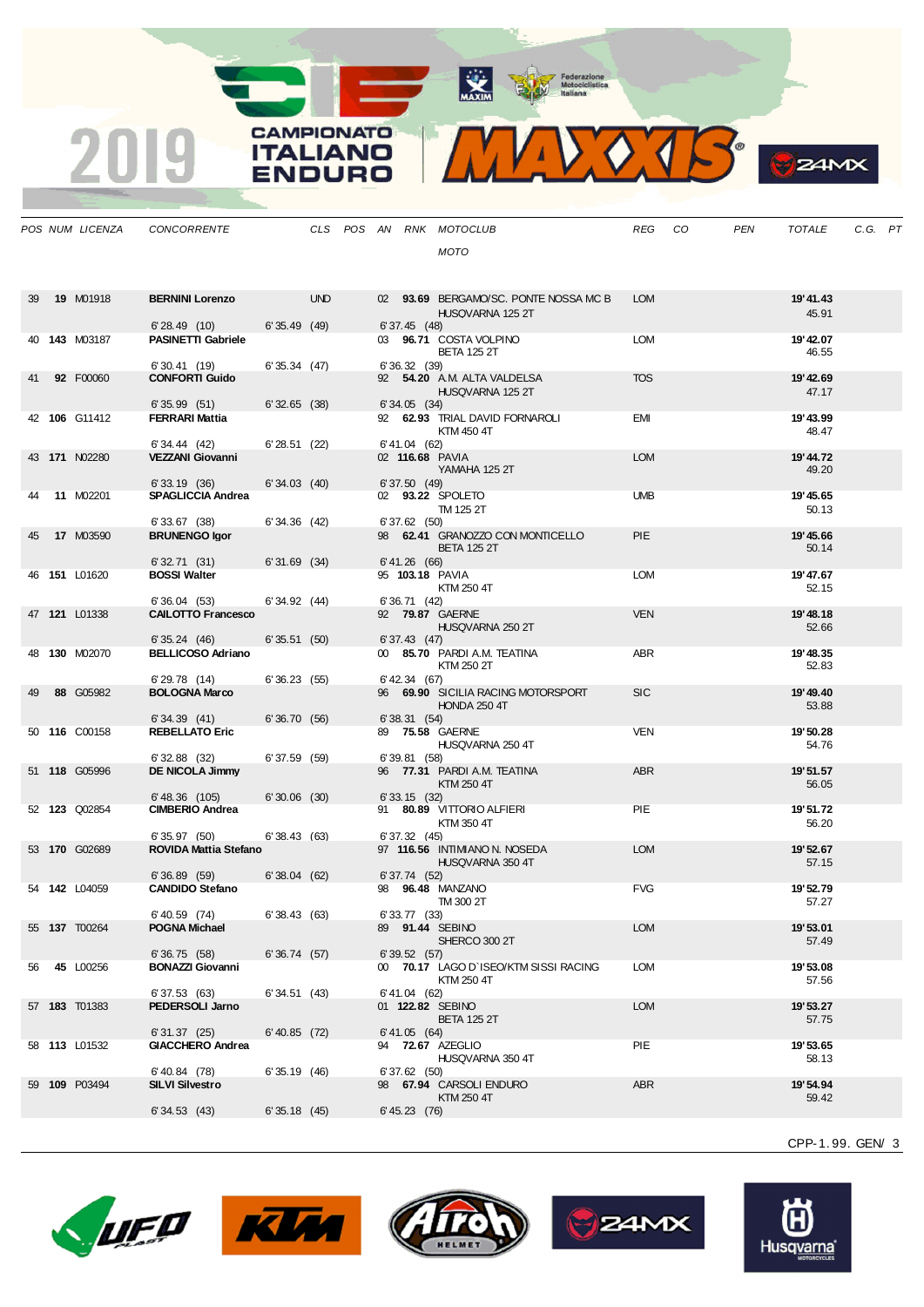**CAMPIONATO** 

**ITALIANO** 

**ENDURO** 

2019



**B**<sub>z</sub>amx

|    | POS NUM LICENZA      | CONCORRENTE                                 |                |            |  |                   | CLS POS AN RNK MOTOCLUB                                   | REG        | CO | <b>PEN</b> | <b>TOTALE</b>      | C.G. PT |  |
|----|----------------------|---------------------------------------------|----------------|------------|--|-------------------|-----------------------------------------------------------|------------|----|------------|--------------------|---------|--|
|    |                      |                                             |                |            |  |                   | <b>MOTO</b>                                               |            |    |            |                    |         |  |
|    |                      |                                             |                |            |  |                   |                                                           |            |    |            |                    |         |  |
|    |                      |                                             |                |            |  |                   |                                                           |            |    |            |                    |         |  |
| 39 | <b>19 M01918</b>     | <b>BERNINI Lorenzo</b>                      |                | <b>UND</b> |  |                   | 02 93.69 BERGAMO/SC. PONTE NOSSA MC B<br>HUSQVARNA 125 2T | <b>LOM</b> |    |            | 19'41.43<br>45.91  |         |  |
|    |                      | 6'28.49(10)                                 | 6'35.49(49)    |            |  | $6'37.45$ (48)    |                                                           |            |    |            |                    |         |  |
|    | 40 143 M03187        | <b>PASINETTI Gabriele</b>                   |                |            |  |                   | 03 96.71 COSTA VOLPINO                                    | <b>LOM</b> |    |            | 19' 42.07          |         |  |
|    |                      | 6'30.41(19)                                 | 6'35.34(47)    |            |  | 6'36.32(39)       | <b>BETA 125 2T</b>                                        |            |    |            | 46.55              |         |  |
| 41 | 92 F00060            | <b>CONFORTI Guido</b>                       |                |            |  |                   | 92 54.20 A.M. ALTA VALDELSA                               | <b>TOS</b> |    |            | 19' 42.69          |         |  |
|    |                      | 6'35.99(51)                                 | 6'32.65(38)    |            |  | 6'34.05(34)       | HUSQVARNA 125 2T                                          |            |    |            | 47.17              |         |  |
|    | 42 106 G11412        | <b>FERRARI Mattia</b>                       |                |            |  |                   | 92 62.93 TRIAL DAVID FORNAROLI                            | EMI        |    |            | 19'43.99           |         |  |
|    |                      |                                             |                |            |  |                   | KTM 450 4T                                                |            |    |            | 48.47              |         |  |
|    | 43 171 N02280        | 6' 34.44 (42)<br><b>VEZZANI Giovanni</b>    | 6'28.51(22)    |            |  | 6' 41.04 (62)     | 02 116.68 PAVIA                                           | <b>LOM</b> |    |            | 19' 44.72          |         |  |
|    |                      |                                             |                |            |  |                   | YAMAHA 125 2T                                             |            |    |            | 49.20              |         |  |
|    | <b>11 M02201</b>     | 6'33.19(36)<br><b>SPAGLICCIA Andrea</b>     | 6'34.03(40)    |            |  | 6'37.50(49)       | 02 93.22 SPOLETO                                          | <b>UMB</b> |    |            | 19' 45.65          |         |  |
|    |                      |                                             |                |            |  |                   | TM 125 2T                                                 |            |    |            | 50.13              |         |  |
|    | 17 M03590            | 6'33.67(38)<br><b>BRUNENGO Igor</b>         | 6'34.36(42)    |            |  | $6'37.62$ (50)    |                                                           | <b>PIE</b> |    |            | 19' 45.66          |         |  |
| 45 |                      |                                             |                |            |  |                   | 98 62.41 GRANOZZO CON MONTICELLO<br><b>BETA 125 2T</b>    |            |    |            | 50.14              |         |  |
|    |                      | 6'32.71(31)                                 | $6'31.69$ (34) |            |  | 6' 41.26 (66)     |                                                           |            |    |            |                    |         |  |
|    | 46 151 L01620        | <b>BOSSI Walter</b>                         |                |            |  |                   | 95 103.18 PAVIA<br>KTM 250 4T                             | <b>LOM</b> |    |            | 19' 47.67<br>52.15 |         |  |
|    |                      | 6'36.04(53)                                 | 6'34.92(44)    |            |  | 6' 36.71 (42)     |                                                           |            |    |            |                    |         |  |
|    | 47 121 L01338        | <b>CALOTTO Francesco</b>                    |                |            |  |                   | 92 79.87 GAERNE<br>HUSQVARNA 250 2T                       | <b>VEN</b> |    |            | 19'48.18<br>52.66  |         |  |
|    |                      | 6'35.24(46)                                 | 6'35.51(50)    |            |  | 6'37.43(47)       |                                                           |            |    |            |                    |         |  |
|    | 48 130 M02070        | <b>BELLICOSO Adriano</b>                    |                |            |  |                   | 00 85.70 PARDI A.M. TEATINA                               | <b>ABR</b> |    |            | 19' 48.35          |         |  |
|    |                      | 6'29.78(14)                                 | 6'36.23(55)    |            |  | $6'$ 42.34 $(67)$ | KTM 250 2T                                                |            |    |            | 52.83              |         |  |
| 49 | 88 G05982            | <b>BOLOGNA Marco</b>                        |                |            |  |                   | 96 69.90 SICILIA RACING MOTORSPORT                        | <b>SIC</b> |    |            | 19' 49.40          |         |  |
|    |                      | 6'34.39(41)                                 | 6'36.70(56)    |            |  | 6'38.31(54)       | <b>HONDA 250 4T</b>                                       |            |    |            | 53.88              |         |  |
|    | 50 116 C00158        | <b>REBELLATO Eric</b>                       |                |            |  |                   | 89 75.58 GAERNE                                           | <b>VEN</b> |    |            | 19' 50.28          |         |  |
|    |                      | 6'32.88(32)                                 | 6'37.59(59)    |            |  | 6'39.81(58)       | HUSQVARNA 250 4T                                          |            |    |            | 54.76              |         |  |
|    | 51 118 G05996        | <b>DE NICOLA Jimmy</b>                      |                |            |  |                   | 96 77.31 PARDI A.M. TEATINA                               | <b>ABR</b> |    |            | 19'51.57           |         |  |
|    |                      |                                             |                |            |  |                   | KTM 250 4T                                                |            |    |            | 56.05              |         |  |
|    | 52 <b>123</b> Q02854 | $6' 48.36$ (105)<br><b>CIMBERIO Andrea</b>  | $6'30.06$ (30) |            |  | 6'33.15(32)       | 91 80.89 VITTORIO ALFIERI                                 | <b>PIE</b> |    |            | 19' 51.72          |         |  |
|    |                      |                                             |                |            |  |                   | KTM 350 4T                                                |            |    |            | 56.20              |         |  |
|    | 53 170 G02689        | 6'35.97(50)<br><b>ROVIDA Mattia Stefano</b> | 6'38.43(63)    |            |  | 6'37.32(45)       | 97 116.56 INTIMIANO N. NOSEDA                             | <b>LOM</b> |    |            | 19' 52.67          |         |  |
|    |                      |                                             |                |            |  |                   | HUSQVARNA 350 4T                                          |            |    |            | 57.15              |         |  |
|    | 54 142 L04059        | 6'36.89(59)<br><b>CANDIDO Stefano</b>       | 6'38.04(62)    |            |  | 6'37.74 (52)      |                                                           | <b>FVG</b> |    |            | 19' 52.79          |         |  |
|    |                      |                                             |                |            |  |                   | 98 96.48 MANZANO<br>TM 300 2T                             |            |    |            | 57.27              |         |  |
|    |                      | 6' 40.59 (74)                               | 6'38.43 (63)   |            |  | 6' 33.77 (33)     |                                                           |            |    |            |                    |         |  |
|    | 55 <b>137</b> T00264 | POGNA Michael                               |                |            |  |                   | 89 91.44 SEBINO<br>SHERCO 300 2T                          | <b>LOM</b> |    |            | 19'53.01<br>57.49  |         |  |
|    |                      | 6'36.75(58)                                 | 6'36.74(57)    |            |  | 6'39.52(57)       |                                                           |            |    |            |                    |         |  |
| 56 | 45 L00256            | <b>BONAZZI Giovanni</b>                     |                |            |  |                   | 00 70.17 LAGO D'ISEO/KTM SISSI RACING<br>KTM 250 4T       | <b>LOM</b> |    |            | 19'53.08<br>57.56  |         |  |
|    |                      | 6'37.53(63)                                 | 6'34.51(43)    |            |  | $6' 41.04$ (62)   |                                                           |            |    |            |                    |         |  |
|    | 57 <b>183</b> T01383 | PEDERSOLI Jarno                             |                |            |  |                   | 01 122.82 SEBINO                                          | <b>LOM</b> |    |            | 19' 53.27          |         |  |
|    |                      | 6'31.37(25)                                 | 6' 40.85 (72)  |            |  | 6' 41.05 (64)     | <b>BETA 125 2T</b>                                        |            |    |            | 57.75              |         |  |
|    | 58 113 L01532        | <b>GIACCHERO Andrea</b>                     |                |            |  |                   | 94 72.67 AZEGLIO                                          | PIE        |    |            | 19' 53.65          |         |  |
|    |                      | 6'40.84 (78)                                | 6'35.19(46)    |            |  | 6'37.62(50)       | HUSQVARNA 350 4T                                          |            |    |            | 58.13              |         |  |
|    | 59 109 P03494        | <b>SILVI Silvestro</b>                      |                |            |  |                   | 98 67.94 CARSOLI ENDURO                                   | ABR        |    |            | 19' 54.94          |         |  |
|    |                      | 6'34.53(43)                                 | 6'35.18(45)    |            |  | $6' 45.23$ (76)   | KTM 250 4T                                                |            |    |            | 59.42              |         |  |
|    |                      |                                             |                |            |  |                   |                                                           |            |    |            |                    |         |  |









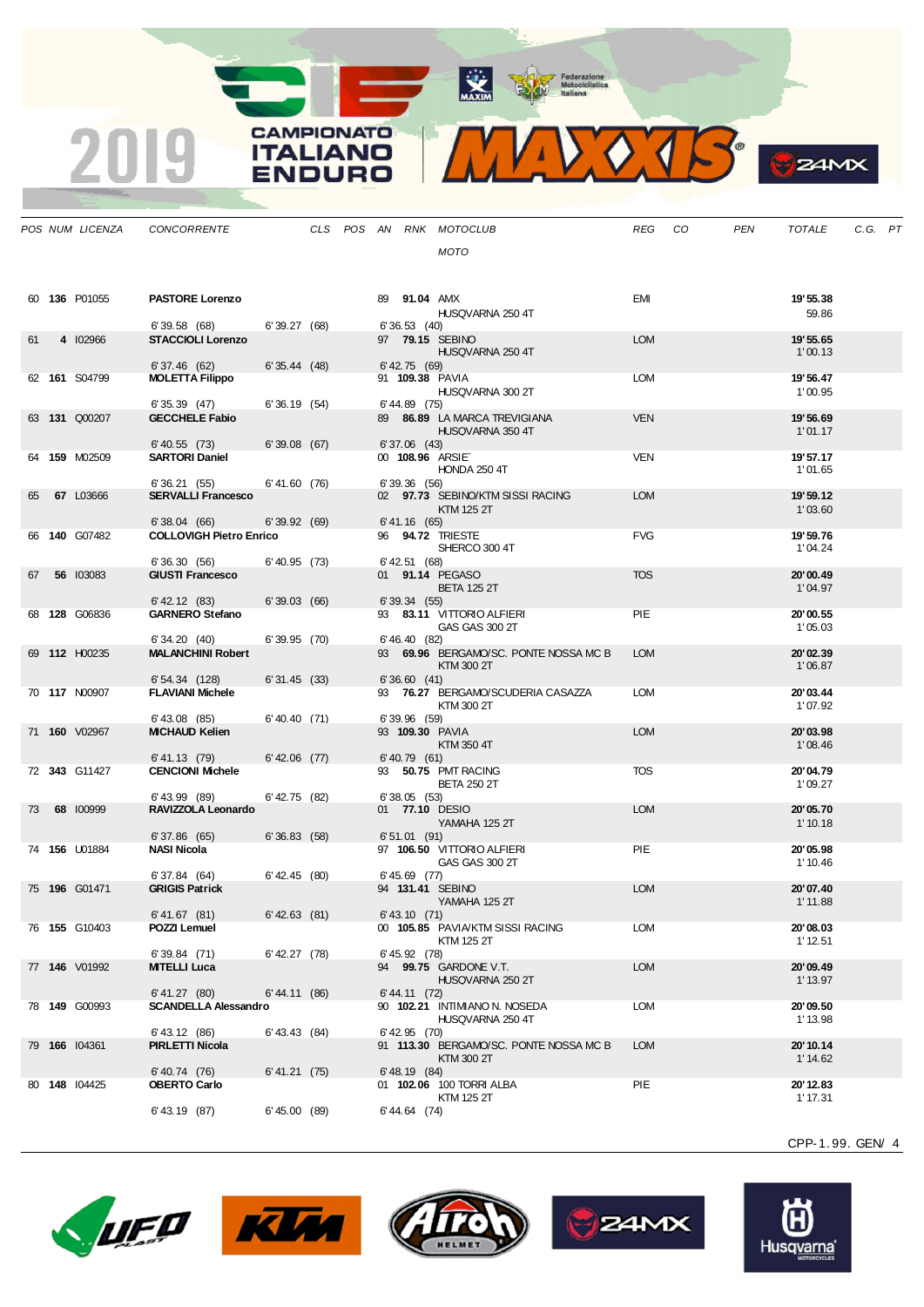**CAMPIONATO** 

**ITALIANO** 

**ENDURO** 

2019



**S**ZAMX

|    | POS NUM LICENZA | <b>CONCORRENTE</b>                          |                   |  |                     | CLS POS AN RNK MOTOCLUB                             | REG        | CO <sub>.</sub> | PEN | TOTALE               | C.G. PT |  |
|----|-----------------|---------------------------------------------|-------------------|--|---------------------|-----------------------------------------------------|------------|-----------------|-----|----------------------|---------|--|
|    |                 |                                             |                   |  |                     | MOTO                                                |            |                 |     |                      |         |  |
|    |                 |                                             |                   |  |                     |                                                     |            |                 |     |                      |         |  |
|    |                 |                                             |                   |  |                     |                                                     |            |                 |     |                      |         |  |
|    | 60 136 P01055   | <b>PASTORE Lorenzo</b>                      |                   |  | 89 <b>91.04</b> AMX | HUSQVARNA 250 4T                                    | <b>EMI</b> |                 |     | 19' 55.38<br>59.86   |         |  |
|    |                 | 6'39.58(68)                                 | 6'39.27(68)       |  | 6'36.53(40)         |                                                     |            |                 |     |                      |         |  |
| 61 | 4 102966        | <b>STACCIOLI Lorenzo</b>                    |                   |  |                     | 97 79.15 SEBINO                                     | <b>LOM</b> |                 |     | 19' 55.65            |         |  |
|    |                 | 6'37.46(62)                                 | 6'35.44(48)       |  | 6' 42.75 (69)       | HUSQVARNA 250 4T                                    |            |                 |     | 1'00.13              |         |  |
|    | 62 161 S04799   | <b>MOLETTA Filippo</b>                      |                   |  |                     | 91 109.38 PAVIA                                     | <b>LOM</b> |                 |     | 19' 56.47            |         |  |
|    |                 |                                             |                   |  |                     | HUSQVARNA 300 2T                                    |            |                 |     | 1'00.95              |         |  |
|    | 63 131 Q00207   | 6'35.39(47)<br><b>GECCHELE Fabio</b>        | 6'36.19(54)       |  | $6' 44.89$ (75)     | 89 86.89 LA MARCA TREVIGIANA                        | <b>VEN</b> |                 |     | 19'56.69             |         |  |
|    |                 |                                             |                   |  |                     | HUSQVARNA 350 4T                                    |            |                 |     | 1'01.17              |         |  |
|    |                 | $6'$ 40.55 $(73)$                           | 6'39.08(67)       |  | $6'37.06$ (43)      |                                                     |            |                 |     |                      |         |  |
|    | 64 159 M02509   | <b>SARTORI Daniel</b>                       |                   |  |                     | 00 108.96 ARSIE<br><b>HONDA 250 4T</b>              | <b>VEN</b> |                 |     | 19' 57.17<br>1'01.65 |         |  |
|    |                 | 6'36.21(55)                                 | 6' 41.60 (76)     |  | 6'39.36(56)         |                                                     |            |                 |     |                      |         |  |
| 65 | 67 L03666       | <b>SERVALLI Francesco</b>                   |                   |  |                     | 02 97.73 SEBINO/KTM SISSI RACING                    | <b>LOM</b> |                 |     | 19' 59.12            |         |  |
|    |                 | 6'38.04(66)                                 | 6'39.92(69)       |  | 6' 41.16 (65)       | <b>KTM 125 2T</b>                                   |            |                 |     | 1'03.60              |         |  |
|    | 66 140 G07482   | <b>COLLOVIGH Pietro Enrico</b>              |                   |  |                     | 96 <b>94.72 TRIESTE</b>                             | <b>FVG</b> |                 |     | 19' 59.76            |         |  |
|    |                 | 6'36.30(56)                                 | $6'$ 40.95 $(73)$ |  | $6'$ 42.51 $(68)$   | SHERCO 300 4T                                       |            |                 |     | 1'04.24              |         |  |
| 67 | 56 103083       | <b>GIUSTI Francesco</b>                     |                   |  |                     | 01 91.14 PEGASO                                     | <b>TOS</b> |                 |     | 20'00.49             |         |  |
|    |                 |                                             |                   |  |                     | <b>BETA 125 2T</b>                                  |            |                 |     | 1'04.97              |         |  |
|    | 68 128 G06836   | $6'$ 42.12 $(83)$<br><b>GARNERO Stefano</b> | 6'39.03(66)       |  | 6'39.34(55)         | 93 83.11 VITTORIO ALFIERI                           | PIE        |                 |     | 20'00.55             |         |  |
|    |                 |                                             |                   |  |                     | GAS GAS 300 2T                                      |            |                 |     | 1'05.03              |         |  |
|    |                 | 6'34.20(40)                                 | 6'39.95(70)       |  | 6' 46.40 (82)       |                                                     |            |                 |     |                      |         |  |
|    | 69 112 H00235   | <b>MALANCHINI Robert</b>                    |                   |  |                     | 93 69.96 BERGAMO/SC. PONTE NOSSA MC B<br>KTM 300 2T | <b>LOM</b> |                 |     | 20'02.39<br>1'06.87  |         |  |
|    |                 | 6'54.34(128)                                | 6'31.45(33)       |  | 6'36.60(41)         |                                                     |            |                 |     |                      |         |  |
|    | 70 117 N00907   | <b>FLAVIANI Michele</b>                     |                   |  |                     | 93 76.27 BERGAMO/SCUDERIA CASAZZA                   | <b>LOM</b> |                 |     | 20'03.44             |         |  |
|    |                 | $6'$ 43.08 $(85)$                           | 6'40.40(71)       |  | $6'39.96$ (59)      | KTM 300 2T                                          |            |                 |     | 1'07.92              |         |  |
|    | 71 160 V02967   | <b>MICHAUD Kelien</b>                       |                   |  |                     | 93 109.30 PAVIA                                     | <b>LOM</b> |                 |     | 20'03.98             |         |  |
|    |                 |                                             |                   |  |                     | KTM 350 4T                                          |            |                 |     | 1'08.46              |         |  |
|    | 72 343 G11427   | 6' 41.13 (79)<br><b>CENCIONI Michele</b>    | $6'$ 42.06 $(77)$ |  | 6' 40.79 (61)       | 93 50.75 PMT RACING                                 | <b>TOS</b> |                 |     | 20'04.79             |         |  |
|    |                 |                                             |                   |  |                     | <b>BETA 250 2T</b>                                  |            |                 |     | 1'09.27              |         |  |
| 73 | 68 100999       | $6'$ 43.99 $(89)$<br>RAVIZZOLA Leonardo     | $6'$ 42.75 (82)   |  | 6'38.05(53)         | 01 77.10 DESIO                                      | <b>LOM</b> |                 |     | 20'05.70             |         |  |
|    |                 |                                             |                   |  |                     | YAMAHA 125 2T                                       |            |                 |     | 1'10.18              |         |  |
|    |                 | 6'37.86(65)                                 | 6'36.83(58)       |  | 6'51.01(91)         |                                                     |            |                 |     |                      |         |  |
|    | 74 156 U01884   | <b>NASI Nicola</b>                          |                   |  |                     | 97 106.50 VITTORIO ALFIERI<br><b>GAS GAS 300 2T</b> | <b>PIE</b> |                 |     | 20'05.98<br>1' 10.46 |         |  |
|    |                 | 6'37.84(64)                                 | $6'$ 42.45 (80)   |  | 6' 45.69 (77)       |                                                     |            |                 |     |                      |         |  |
|    | 75 196 G01471   | <b>GRIGIS Patrick</b>                       |                   |  |                     | 94 131.41 SEBINO                                    | <b>LOM</b> |                 |     | 20'07.40             |         |  |
|    |                 | 6'41.67(81)                                 | $6'$ 42.63 (81)   |  | $6'$ 43.10 $(71)$   | YAMAHA 125 2T                                       |            |                 |     | 1'11.88              |         |  |
|    | 76 155 G10403   | POZZI Lemuel                                |                   |  |                     | 00 105.85 PAVIA/KTM SISSI RACING                    | <b>LOM</b> |                 |     | 20'08.03             |         |  |
|    |                 |                                             |                   |  |                     | KTM 125 2T                                          |            |                 |     | $1'$ 12.51           |         |  |
|    | 77 146 V01992   | 6'39.84(71)<br><b>MITELLI Luca</b>          | $6'$ 42.27 $(78)$ |  | $6' 45.92$ (78)     | 94 99.75 GARDONE V.T.                               | <b>LOM</b> |                 |     | 20'09.49             |         |  |
|    |                 |                                             |                   |  |                     | HUSQVARNA 250 2T                                    |            |                 |     | 1' 13.97             |         |  |
|    |                 | 6' 41.27 (80)                               | 6' 44.11 (86)     |  | 6' 44.11 (72)       |                                                     |            |                 |     |                      |         |  |
|    | 78 149 G00993   | <b>SCANDELLA Alessandro</b>                 |                   |  |                     | 90 102.21 INTIMIANO N. NOSEDA<br>HUSQVARNA 250 4T   | <b>LOM</b> |                 |     | 20'09.50<br>1' 13.98 |         |  |
|    |                 | 6' 43.12 (86)                               | $6'$ 43.43 $(84)$ |  | $6'$ 42.95 $(70)$   |                                                     |            |                 |     |                      |         |  |
|    | 79 166 104361   | <b>PIRLETTI Nicola</b>                      |                   |  |                     | 91 113.30 BERGAMO/SC. PONTE NOSSA MC B              | <b>LOM</b> |                 |     | 20'10.14             |         |  |
|    |                 | 6' 40.74 (76)                               | 6' 41.21 (75)     |  | $6'$ 48.19 $(84)$   | KTM 300 2T                                          |            |                 |     | 1' 14.62             |         |  |
|    | 80 148 104425   | <b>OBERTO Carlo</b>                         |                   |  |                     | 01 <b>102.06</b> 100 TORRI ALBA                     | PIE        |                 |     | 20'12.83             |         |  |
|    |                 |                                             |                   |  |                     | KTM 125 2T                                          |            |                 |     | 1' 17.31             |         |  |
|    |                 | 6' 43.19 (87)                               | 6'45.00(89)       |  | 6' 44.64 (74)       |                                                     |            |                 |     |                      |         |  |

CPP-1. 99. GEN/ 4

(H) Husqvarna®







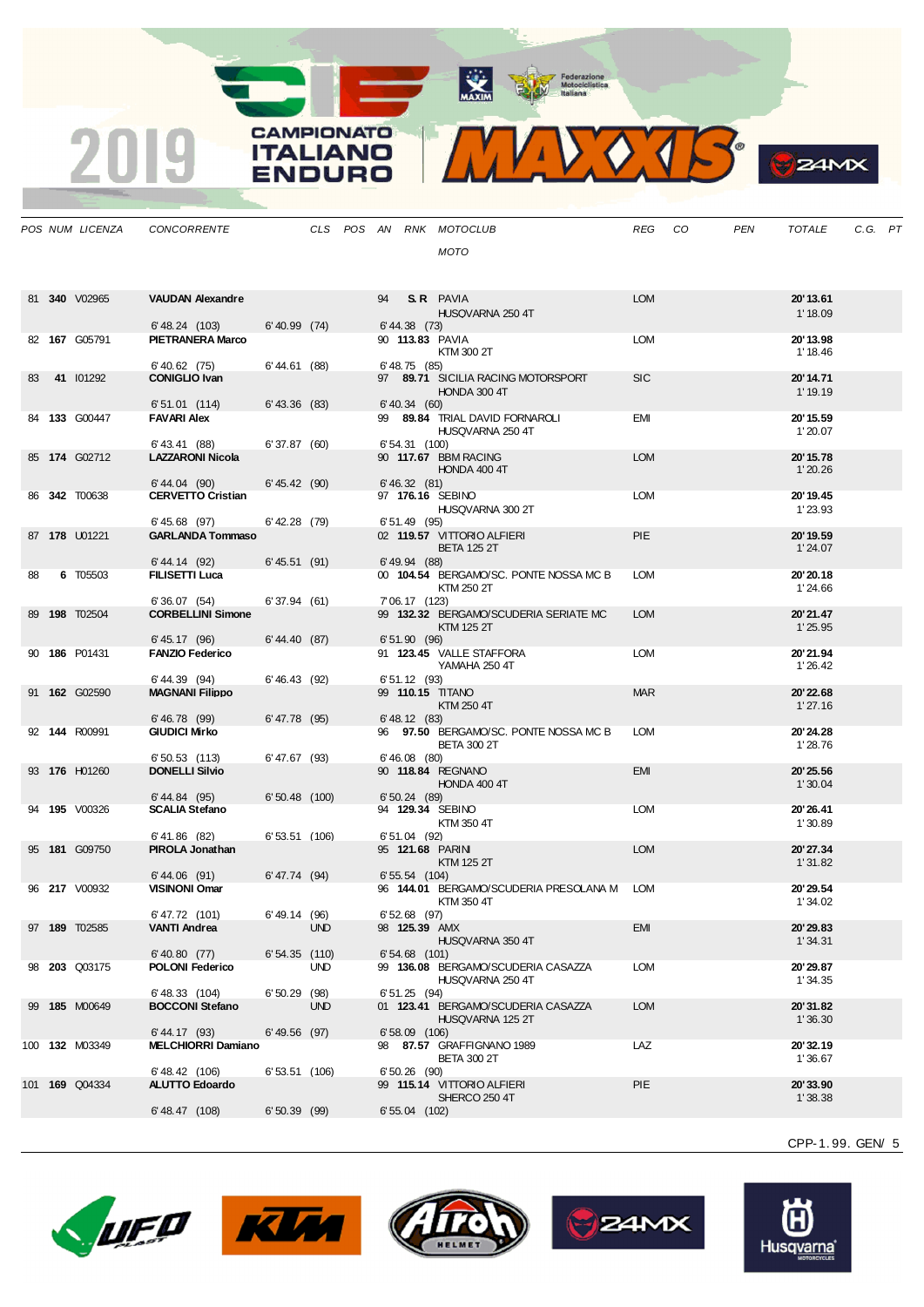**CAMPIONATO** 

**ITALIANO** 

**ENDURO** 

2019



**B**<sub>z</sub>amx

|    | POS NUM LICENZA | <b>CONCORRENTE</b>                        |                   |            |    |                   | CLS POS AN RNK MOTOCLUB                                     | REG        | CO | PEN | <b>TOTALE</b>        | C.G. PT |  |
|----|-----------------|-------------------------------------------|-------------------|------------|----|-------------------|-------------------------------------------------------------|------------|----|-----|----------------------|---------|--|
|    |                 |                                           |                   |            |    |                   | <b>MOTO</b>                                                 |            |    |     |                      |         |  |
|    |                 |                                           |                   |            |    |                   |                                                             |            |    |     |                      |         |  |
|    |                 |                                           |                   |            |    |                   |                                                             |            |    |     |                      |         |  |
|    | 81 340 V02965   | <b>VAUDAN Alexandre</b>                   |                   |            | 94 |                   | S.R. PAVIA                                                  | <b>LOM</b> |    |     | 20'13.61             |         |  |
|    |                 |                                           | $6'$ 40.99 $(74)$ |            |    |                   | HUSQVARNA 250 4T                                            |            |    |     | 1'18.09              |         |  |
|    | 82 167 G05791   | 6' 48.24 (103)<br><b>PIETRANERA Marco</b> |                   |            |    | $6' 44.38$ (73)   | 90 113.83 PAVIA                                             | <b>LOM</b> |    |     | 20'13.98             |         |  |
|    |                 |                                           |                   |            |    |                   | KTM 300 2T                                                  |            |    |     | 1' 18.46             |         |  |
|    |                 | 6' 40.62 (75)                             | 6' 44.61 (88)     |            |    | $6'$ 48.75 $(85)$ |                                                             |            |    |     |                      |         |  |
| 83 | 41 101292       | <b>CONIGLIO Ivan</b>                      |                   |            |    |                   | 97 89.71 SICILIA RACING MOTORSPORT<br>HONDA 300 4T          | <b>SIC</b> |    |     | 20'14.71<br>1'19.19  |         |  |
|    |                 | $6'51.01$ (114)                           | $6'$ 43.36 $(83)$ |            |    | $6'$ 40.34 $(60)$ |                                                             |            |    |     |                      |         |  |
|    | 84 133 G00447   | <b>FAVARI Alex</b>                        |                   |            |    |                   | 99 89.84 TRIAL DAVID FORNAROLI                              | <b>EMI</b> |    |     | 20' 15.59            |         |  |
|    |                 |                                           |                   |            |    |                   | HUSQVARNA 250 4T                                            |            |    |     | 1'20.07              |         |  |
|    | 85 174 G02712   | 6' 43.41 (88)<br><b>LAZZARONI Nicola</b>  | 6'37.87(60)       |            |    | 6' 54.31 (100)    | 90 117.67 BBM RACING                                        | <b>LOM</b> |    |     | 20'15.78             |         |  |
|    |                 |                                           |                   |            |    |                   | HONDA 400 4T                                                |            |    |     | 1'20.26              |         |  |
|    |                 | 6' 44.04 (90)                             | 6' 45.42 (90)     |            |    | 6' 46.32 (81)     |                                                             |            |    |     |                      |         |  |
|    | 86 342 T00638   | <b>CERVETTO Cristian</b>                  |                   |            |    |                   | 97 176.16 SEBINO<br>HUSQVARNA 300 2T                        | <b>LOM</b> |    |     | 20' 19.45<br>1'23.93 |         |  |
|    |                 | $6' 45.68$ (97)                           | $6'$ 42.28 $(79)$ |            |    | $6'51.49$ (95)    |                                                             |            |    |     |                      |         |  |
|    | 87 178 U01221   | <b>GARLANDA Tommaso</b>                   |                   |            |    |                   | 02 119.57 VITTORIO ALFIERI                                  | <b>PIE</b> |    |     | 20'19.59             |         |  |
|    |                 |                                           |                   |            |    |                   | <b>BETA 125 2T</b>                                          |            |    |     | 1'24.07              |         |  |
| 88 | 6 T05503        | 6' 44.14 (92)<br><b>FILISETTI Luca</b>    | 6' 45.51 (91)     |            |    | $6'$ 49.94 $(88)$ | 00 104.54 BERGAMO/SC. PONTE NOSSA MC B                      | <b>LOM</b> |    |     | 20'20.18             |         |  |
|    |                 |                                           |                   |            |    |                   | KTM 250 2T                                                  |            |    |     | 1'24.66              |         |  |
|    |                 | 6'36.07(54)                               | 6'37.94(61)       |            |    | 7' 06.17 (123)    |                                                             |            |    |     |                      |         |  |
|    | 89 198 T02504   | <b>CORBELLINI Simone</b>                  |                   |            |    |                   | 99 132.32 BERGAMO/SCUDERIA SERIATE MC<br>KTM 125 2T         | <b>LOM</b> |    |     | 20'21.47<br>1'25.95  |         |  |
|    |                 | 6' 45.17 (96)                             | 6' 44.40 (87)     |            |    | $6'51.90$ (96)    |                                                             |            |    |     |                      |         |  |
|    | 90 186 P01431   | <b>FANZIO Federico</b>                    |                   |            |    |                   | 91 123.45 VALLE STAFFORA                                    | <b>LOM</b> |    |     | 20'21.94             |         |  |
|    |                 |                                           |                   |            |    |                   | YAMAHA 250 4T                                               |            |    |     | 1'26.42              |         |  |
|    | 91 162 G02590   | 6' 44.39 (94)<br><b>MAGNANI Filippo</b>   | 6'46.43(92)       |            |    | 6'51.12(93)       | 99 110.15 TITANO                                            | <b>MAR</b> |    |     | 20'22.68             |         |  |
|    |                 |                                           |                   |            |    |                   | KTM 250 4T                                                  |            |    |     | 1'27.16              |         |  |
|    |                 | $6' 46.78$ (99)                           | $6' 47.78$ (95)   |            |    | 6' 48.12 (83)     |                                                             |            |    |     |                      |         |  |
|    | 92 144 R00991   | <b>GIUDICI Mirko</b>                      |                   |            |    |                   | 96 97.50 BERGAMO/SC. PONTE NOSSA MC B<br><b>BETA 300 2T</b> | <b>LOM</b> |    |     | 20'24.28<br>1'28.76  |         |  |
|    |                 | $6'50.53$ (113)                           | 6' 47.67 (93)     |            |    | $6' 46.08$ (80)   |                                                             |            |    |     |                      |         |  |
|    | 93 176 H01260   | <b>DONELLI Silvio</b>                     |                   |            |    |                   | 90 118.84 REGNANO                                           | <b>EMI</b> |    |     | 20'25.56             |         |  |
|    |                 | 6' 44.84 (95)                             | $6'50.48$ (100)   |            |    | 6'50.24(89)       | HONDA 400 4T                                                |            |    |     | 1'30.04              |         |  |
|    | 94 195 V00326   | <b>SCALIA Stefano</b>                     |                   |            |    |                   | 94 129.34 SEBINO                                            | <b>LOM</b> |    |     | 20' 26.41            |         |  |
|    |                 |                                           |                   |            |    |                   | KTM 350 4T                                                  |            |    |     | 1'30.89              |         |  |
|    | 95 181 G09750   | 6' 41.86 (82)<br><b>PIROLA Jonathan</b>   | 6'53.51 (106)     |            |    | 6' 51.04 (92)     | 95 121.68 PARIN                                             | <b>LOM</b> |    |     | 20'27.34             |         |  |
|    |                 |                                           |                   |            |    |                   | <b>KTM 125 2T</b>                                           |            |    |     | 1'31.82              |         |  |
|    |                 | 6' 44.06 (91)                             | 6' 47.74 (94)     |            |    | $6'55.54$ (104)   |                                                             |            |    |     |                      |         |  |
|    | 96 217 V00932   | <b>VISINONI Omar</b>                      |                   |            |    |                   | 96 144.01 BERGAMO/SCUDERIA PRESOLANA M<br>KTM 350 4T        | <b>LOM</b> |    |     | 20'29.54<br>1'34.02  |         |  |
|    |                 | 6'47.72 (101)                             | 6' 49.14 (96)     |            |    | $6'52.68$ (97)    |                                                             |            |    |     |                      |         |  |
|    | 97 189 T02585   | VANTI Andrea                              |                   | <b>UND</b> |    | 98 125.39 AMX     |                                                             | <b>EMI</b> |    |     | 20'29.83             |         |  |
|    |                 | $6'$ 40.80 $(77)$                         |                   |            |    | $6'54.68$ (101)   | HUSQVARNA 350 4T                                            |            |    |     | 1'34.31              |         |  |
|    | 98 203 Q03175   | <b>POLONI Federico</b>                    | 6'54.35(110)      | <b>UND</b> |    |                   | 99 136.08 BERGAMO/SCUDERIA CASAZZA                          | <b>LOM</b> |    |     | 20'29.87             |         |  |
|    |                 |                                           |                   |            |    |                   | HUSQVARNA 250 4T                                            |            |    |     | 1'34.35              |         |  |
|    |                 | 6' 48.33 (104)                            | $6'50.29$ (98)    |            |    | 6'51.25(94)       |                                                             |            |    |     |                      |         |  |
|    | 99 185 M00649   | <b>BOCCONI Stefano</b>                    |                   | <b>UND</b> |    |                   | 01 123.41 BERGAMO/SCUDERIA CASAZZA<br>HUSQVARNA 125 2T      | <b>LOM</b> |    |     | 20'31.82<br>1'36.30  |         |  |
|    |                 | 6' 44.17 (93)                             | 6' 49.56 (97)     |            |    | $6'58.09$ (106)   |                                                             |            |    |     |                      |         |  |
|    | 100 132 M03349  | <b>MELCHIORRI Damiano</b>                 |                   |            |    |                   | 98 87.57 GRAFFIGNANO 1989                                   | LAZ        |    |     | 20'32.19             |         |  |
|    |                 | 6'48.42 (106)                             | $6'53.51$ (106)   |            |    | $6'50.26$ (90)    | <b>BETA 300 2T</b>                                          |            |    |     | 1'36.67              |         |  |
|    | 101 169 Q04334  | <b>ALUTTO Edoardo</b>                     |                   |            |    |                   | 99 115.14 VITTORIO ALFIERI                                  | <b>PIE</b> |    |     | 20'33.90             |         |  |
|    |                 |                                           |                   |            |    |                   | SHERCO 250 4T                                               |            |    |     | 1'38.38              |         |  |
|    |                 | $6' 48.47$ (108)                          | 6'50.39(99)       |            |    | $6'55.04$ (102)   |                                                             |            |    |     |                      |         |  |











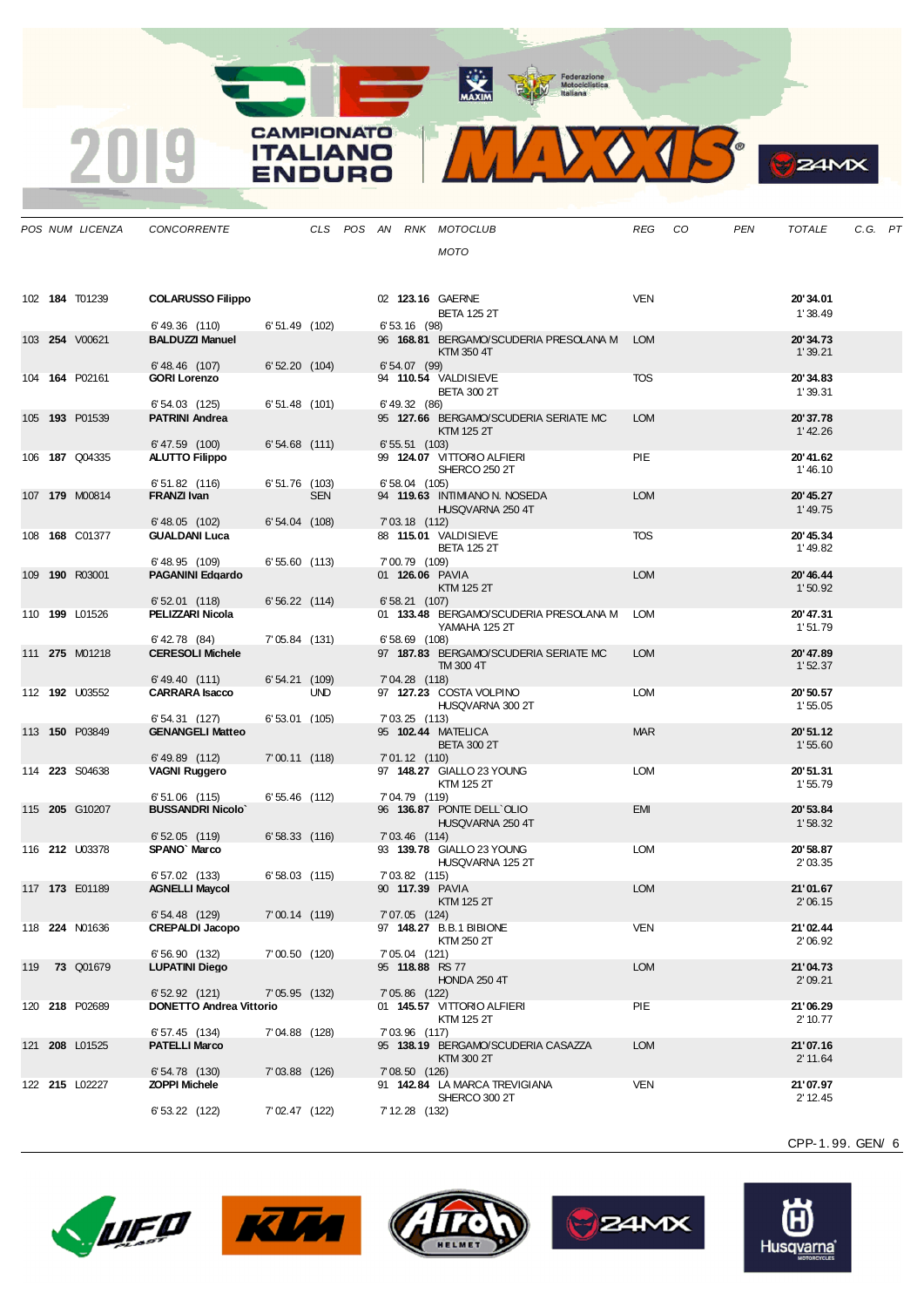**CAMPIONATO** 

**ITALIANO** 

**ENDURO** 

2019



|     | POS NUM LICENZA       | <b>CONCORRENTE</b>                             |                 |            |  |                 | CLS POS AN RNK MOTOCLUB                            | REG        | CO | PEN | TOTALE                | C.G. PT |  |
|-----|-----------------------|------------------------------------------------|-----------------|------------|--|-----------------|----------------------------------------------------|------------|----|-----|-----------------------|---------|--|
|     |                       |                                                |                 |            |  |                 | MOTO                                               |            |    |     |                       |         |  |
|     |                       |                                                |                 |            |  |                 |                                                    |            |    |     |                       |         |  |
|     |                       |                                                |                 |            |  |                 |                                                    |            |    |     |                       |         |  |
|     | 102 184 T01239        | <b>COLARUSSO Filippo</b>                       |                 |            |  |                 | 02 123.16 GAERNE<br><b>BETA 125 2T</b>             | VEN        |    |     | 20'34.01<br>1'38.49   |         |  |
|     |                       | 6'49.36 (110)                                  | $6'51.49$ (102) |            |  | 6' 53, 16 (98)  |                                                    |            |    |     |                       |         |  |
|     | 103 254 V00621        | <b>BALDUZZI Manuel</b>                         |                 |            |  |                 | 96 168.81 BERGAMO/SCUDERIA PRESOLANA M             | <b>LOM</b> |    |     | 20'34.73              |         |  |
|     |                       | $6' 48.46$ (107)                               | 6'52.20(104)    |            |  | 6' 54.07 (99)   | KTM 350 4T                                         |            |    |     | 1'39.21               |         |  |
|     | 104 164 P02161        | <b>GORI Lorenzo</b>                            |                 |            |  |                 | 94 110.54 VALDISIEVE                               | <b>TOS</b> |    |     | 20'34.83              |         |  |
|     |                       |                                                |                 |            |  |                 | <b>BETA 300 2T</b>                                 |            |    |     | 1'39.31               |         |  |
|     | 105 193 P01539        | 6'54.03 (125)<br><b>PATRINI Andrea</b>         | $6'51.48$ (101) |            |  | 6' 49.32 (86)   | 95 127.66 BERGAMO/SCUDERIA SERIATE MC              | <b>LOM</b> |    |     | 20'37.78              |         |  |
|     |                       |                                                |                 |            |  |                 | KTM 125 2T                                         |            |    |     | 1' 42.26              |         |  |
|     |                       | 6'47.59 (100)                                  | $6'54.68$ (111) |            |  | $6'55.51$ (103) |                                                    | <b>PIE</b> |    |     |                       |         |  |
|     | 106 <b>187</b> Q04335 | <b>ALUTTO Filippo</b>                          |                 |            |  |                 | 99 124.07 VITTORIO ALFIERI<br>SHERCO 250 2T        |            |    |     | 20'41.62<br>1' 46.10  |         |  |
|     |                       | 6'51.82 (116)                                  | $6'51.76$ (103) |            |  | $6'58.04$ (105) |                                                    |            |    |     |                       |         |  |
|     | 107 179 M00814        | FRANZI Ivan                                    |                 | <b>SEN</b> |  |                 | 94 119.63 INTIMIANO N. NOSEDA<br>HUSQVARNA 250 4T  | <b>LOM</b> |    |     | 20' 45.27<br>1' 49.75 |         |  |
|     |                       | 6' 48.05 (102)                                 | $6'54.04$ (108) |            |  | 7' 03.18 (112)  |                                                    |            |    |     |                       |         |  |
|     | 108 168 C01377        | <b>GUALDANI Luca</b>                           |                 |            |  |                 |                                                    | <b>TOS</b> |    |     | 20' 45.34             |         |  |
|     |                       | 6' 48.95 (109)                                 | 6'55.60 (113)   |            |  | 7'00.79 (109)   | <b>BETA 125 2T</b>                                 |            |    |     | 1'49.82               |         |  |
|     | 109 190 R03001        | <b>PAGANINI Edgardo</b>                        |                 |            |  |                 | 01 <b>126.06</b> PAVIA                             | <b>LOM</b> |    |     | 20' 46.44             |         |  |
|     |                       |                                                |                 |            |  |                 | <b>KTM 125 2T</b>                                  |            |    |     | 1'50.92               |         |  |
|     | 110 <b>199</b> L01526 | 6'52.01(118)<br>PELIZZARI Nicola               | 6'56.22(114)    |            |  | 6' 58.21 (107)  | 01 133.48 BERGAMO/SCUDERIA PRESOLANA M             | <b>LOM</b> |    |     | 20'47.31              |         |  |
|     |                       |                                                |                 |            |  |                 | YAMAHA 125 2T                                      |            |    |     | 1'51.79               |         |  |
|     |                       | 6' 42.78 (84)                                  | $7'05.84$ (131) |            |  | $6'58.69$ (108) |                                                    |            |    |     |                       |         |  |
|     | 111 275 M01218        | <b>CERESOLI Michele</b>                        |                 |            |  |                 | 97 187.83 BERGAMO/SCUDERIA SERIATE MC<br>TM 300 4T | <b>LOM</b> |    |     | 20'47.89<br>1'52.37   |         |  |
|     |                       | 6' 49.40 (111)                                 | 6'54.21(109)    |            |  | $7'04.28$ (118) |                                                    |            |    |     |                       |         |  |
|     | 112 <b>192</b> U03552 | <b>CARRARA Isacco</b>                          |                 | <b>UND</b> |  |                 | 97 127.23 COSTA VOLPINO                            | <b>LOM</b> |    |     | 20' 50.57             |         |  |
|     |                       | 6'54.31 (127)                                  | $6'53.01$ (105) |            |  | 7' 03.25 (113)  | HUSQVARNA 300 2T                                   |            |    |     | 1'55.05               |         |  |
|     | 113 <b>150</b> P03849 | <b>GENANGELI Matteo</b>                        |                 |            |  |                 | 95 102.44 MATELICA                                 | <b>MAR</b> |    |     | 20'51.12              |         |  |
|     |                       | $6'$ 49.89 $(112)$                             | $7'00.11$ (118) |            |  | $7'01.12$ (110) | <b>BETA 300 2T</b>                                 |            |    |     | 1'55.60               |         |  |
|     | 114 223 S04638        | <b>VAGNI Ruggero</b>                           |                 |            |  |                 | 97 148.27 GIALLO 23 YOUNG                          | <b>LOM</b> |    |     | 20'51.31              |         |  |
|     |                       |                                                |                 |            |  |                 | KTM 125 2T                                         |            |    |     | 1'55.79               |         |  |
|     | 115 <b>205</b> G10207 | $6'51.06$ (115)<br><b>BUSSANDRI Nicolo'</b>    | $6'55.46$ (112) |            |  | 7'04.79 (119)   | 96 136.87 PONTE DELL'OLIO                          | <b>EMI</b> |    |     | 20'53.84              |         |  |
|     |                       |                                                |                 |            |  |                 | HUSQVARNA 250 4T                                   |            |    |     | 1'58.32               |         |  |
|     |                       | 6'52.05(119)                                   | 6'58.33(116)    |            |  | $7'03.46$ (114) |                                                    |            |    |     |                       |         |  |
|     | 116 212 U03378        | SPANO' Marco                                   |                 |            |  |                 | 93 139.78 GIALLO 23 YOUNG<br>HUSQVARNA 125 2T      | <b>LOM</b> |    |     | 20'58.87<br>2'03.35   |         |  |
|     |                       | $6'57.02$ (133)                                | $6'58.03$ (115) |            |  | 7'03.82 (115)   |                                                    |            |    |     |                       |         |  |
|     | 117 173 E01189        | <b>AGNELLI Maycol</b>                          |                 |            |  |                 | 90 117.39 PAVIA<br>KTM 125 2T                      | <b>LOM</b> |    |     | 21'01.67<br>2'06.15   |         |  |
|     |                       | 6' 54.48 (129)                                 | $7'00.14$ (119) |            |  | $7'07.05$ (124) |                                                    |            |    |     |                       |         |  |
|     | 118 <b>224</b> N01636 | <b>CREPALDI Jacopo</b>                         |                 |            |  |                 | 97 148.27 B.B.1 BIBIONE                            | <b>VEN</b> |    |     | 21'02.44              |         |  |
|     |                       | 6'56.90 (132)                                  | 7'00.50 (120)   |            |  | 7' 05.04 (121)  | KTM 250 2T                                         |            |    |     | 2'06.92               |         |  |
| 119 | <b>73 Q01679</b>      | <b>LUPATINI Diego</b>                          |                 |            |  |                 | 95 118.88 RS 77                                    | <b>LOM</b> |    |     | 21'04.73              |         |  |
|     |                       |                                                |                 |            |  |                 | <b>HONDA 250 4T</b>                                |            |    |     | 2'09.21               |         |  |
|     | 120 218 P02689        | 6'52.92(121)<br><b>DONETTO Andrea Vittorio</b> | 7'05.95(132)    |            |  | $7'05.86$ (122) | 01 145.57 VITTORIO ALFIERI                         | PIE        |    |     | 21'06.29              |         |  |
|     |                       |                                                |                 |            |  |                 | <b>KTM 125 2T</b>                                  |            |    |     | 2' 10.77              |         |  |
|     |                       | 6' 57.45 (134)                                 | 7'04.88 (128)   |            |  | 7'03.96 (117)   |                                                    |            |    |     |                       |         |  |
|     | 121 208 L01525        | <b>PATELLI Marco</b>                           |                 |            |  |                 | 95 138.19 BERGAMO/SCUDERIA CASAZZA<br>KTM 300 2T   | <b>LOM</b> |    |     | 21'07.16<br>2' 11.64  |         |  |
|     |                       | 6'54.78(130)                                   | 7'03.88 (126)   |            |  | 7'08.50(126)    |                                                    |            |    |     |                       |         |  |
|     | 122 215 L02227        | <b>ZOPPI Michele</b>                           |                 |            |  |                 | 91 142.84 LA MARCA TREVIGIANA                      | VEN        |    |     | 21'07.97              |         |  |
|     |                       | 6' 53.22 (122)                                 | 7'02.47 (122)   |            |  | 7' 12.28 (132)  | SHERCO 300 2T                                      |            |    |     | 2' 12.45              |         |  |
|     |                       |                                                |                 |            |  |                 |                                                    |            |    |     |                       |         |  |

CPP-1. 99. GEN/ 6

**24MX** 









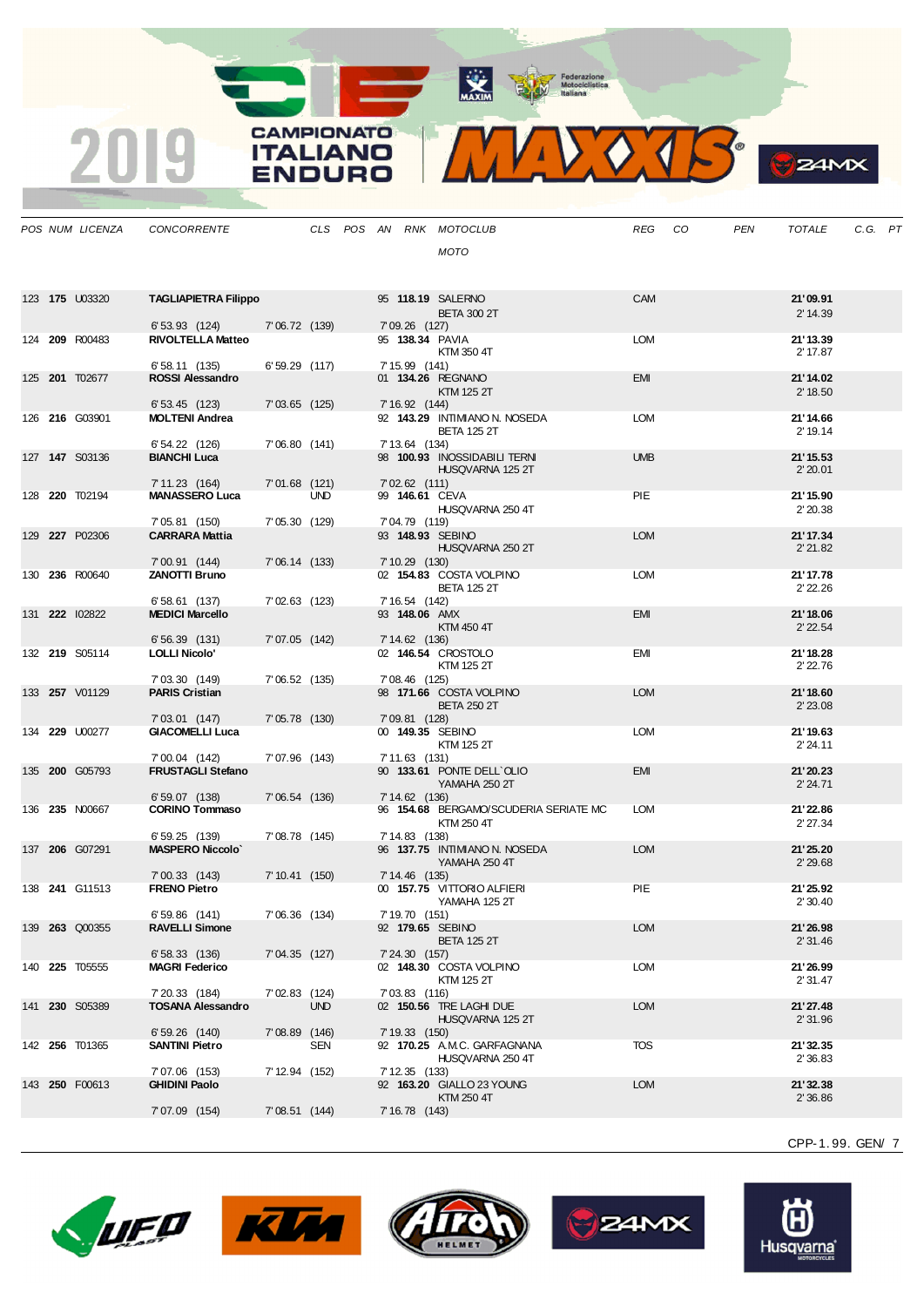MIDOJS

**B**<sub>z</sub>amx

|  | POS NUM LICENZA       | CONCORRENTE                                |                 |            |  |                 | CLS POS AN RNK MOTOCLUB                             | REG        | CO | <b>PEN</b> | <b>TOTALE</b>        | C.G. PT |  |
|--|-----------------------|--------------------------------------------|-----------------|------------|--|-----------------|-----------------------------------------------------|------------|----|------------|----------------------|---------|--|
|  |                       |                                            |                 |            |  |                 | <b>MOTO</b>                                         |            |    |            |                      |         |  |
|  |                       |                                            |                 |            |  |                 |                                                     |            |    |            |                      |         |  |
|  |                       |                                            |                 |            |  |                 |                                                     |            |    |            |                      |         |  |
|  | 123 175 U03320        | <b>TAGLIAPIETRA Filippo</b>                |                 |            |  |                 | 95 118.19 SALERNO<br><b>BETA 300 2T</b>             | <b>CAM</b> |    |            | 21'09.91<br>2' 14.39 |         |  |
|  |                       | 6'53.93(124)                               | 7'06.72 (139)   |            |  | 7' 09.26 (127)  |                                                     |            |    |            |                      |         |  |
|  | 124 209 R00483        | <b>RIVOLTELLA Matteo</b>                   |                 |            |  |                 | 95 138.34 PAVIA<br>KTM 350 4T                       | <b>LOM</b> |    |            | 21'13.39<br>2' 17.87 |         |  |
|  |                       | $6'58.11$ (135)                            | $6'59.29$ (117) |            |  | 7' 15.99 (141)  |                                                     |            |    |            |                      |         |  |
|  | 125 201 T02677        | <b>ROSSI Alessandro</b>                    |                 |            |  |                 | 01 134.26 REGNANO                                   | EMI        |    |            | 21'14.02             |         |  |
|  |                       | $6'53.45$ (123)                            | $7'03.65$ (125) |            |  | 7' 16.92 (144)  | KTM 125 2T                                          |            |    |            | 2' 18.50             |         |  |
|  | 126 216 G03901        | <b>MOLTENI Andrea</b>                      |                 |            |  |                 | 92 143.29 INTIMIANO N. NOSEDA                       | <b>LOM</b> |    |            | 21'14.66             |         |  |
|  |                       |                                            |                 |            |  |                 | <b>BETA 125 2T</b>                                  |            |    |            | 2' 19.14             |         |  |
|  | 127 <b>147</b> S03136 | 6' 54.22 (126)<br><b>BIANCHI Luca</b>      | 7'06.80(141)    |            |  | 7' 13.64 (134)  | 98 100.93 INOSSIDABILI TERNI                        | <b>UMB</b> |    |            | 21'15.53             |         |  |
|  |                       |                                            |                 |            |  |                 | HUSQVARNA 125 2T                                    |            |    |            | 2'20.01              |         |  |
|  | 128 220 T02194        | 7' 11.23 (164)<br><b>MANASSERO Luca</b>    | $7'01.68$ (121) | <b>UND</b> |  | $7'02.62$ (111) | 99 146.61 CEVA                                      | PIE        |    |            | 21' 15.90            |         |  |
|  |                       |                                            |                 |            |  |                 | HUSQVARNA 250 4T                                    |            |    |            | 2'20.38              |         |  |
|  |                       | 7' 05.81 (150)                             | 7'05.30 (129)   |            |  | 7'04.79 (119)   |                                                     |            |    |            |                      |         |  |
|  | 129 227 P02306        | <b>CARRARA Mattia</b>                      |                 |            |  |                 | 93 148.93 SEBINO<br>HUSQVARNA 250 2T                | <b>LOM</b> |    |            | 21'17.34<br>2' 21.82 |         |  |
|  |                       | 7'00.91(144)                               | 7'06.14(133)    |            |  | $7'10.29$ (130) |                                                     |            |    |            |                      |         |  |
|  | 130 236 R00640        | <b>ZANOTTI Bruno</b>                       |                 |            |  |                 | 02 154.83 COSTA VOLPINO                             | <b>LOM</b> |    |            | 21'17.78             |         |  |
|  |                       | 6'58.61(137)                               | 7'02.63 (123)   |            |  | 7' 16.54 (142)  | <b>BETA 125 2T</b>                                  |            |    |            | 2' 22.26             |         |  |
|  | 131 222 102822        | <b>MEDICI Marcello</b>                     |                 |            |  | 93 148.06 AMX   |                                                     | <b>EMI</b> |    |            | 21'18.06             |         |  |
|  |                       | 6'56.39(131)                               | 7'07.05 (142)   |            |  | 7' 14.62 (136)  | KTM 450 4T                                          |            |    |            | 2' 22.54             |         |  |
|  | 132 219 S05114        | <b>LOLLI Nicolo'</b>                       |                 |            |  |                 | 02 146.54 CROSTOLO                                  | EMI        |    |            | 21'18.28             |         |  |
|  |                       |                                            |                 |            |  |                 | KTM 125 2T                                          |            |    |            | 2' 22.76             |         |  |
|  | 133 257 V01129        | 7'03.30 (149)<br><b>PARIS Cristian</b>     | $7'06.52$ (135) |            |  | 7'08.46 (125)   | 98 171.66 COSTA VOLPINO                             | <b>LOM</b> |    |            | 21'18.60             |         |  |
|  |                       |                                            |                 |            |  |                 | <b>BETA 250 2T</b>                                  |            |    |            | 2' 23.08             |         |  |
|  | 134 229 U00277        | 7'03.01 (147)<br><b>GIACOMELLI Luca</b>    | 7' 05.78 (130)  |            |  | 7'09.81 (128)   | 00 149.35 SEBINO                                    | <b>LOM</b> |    |            | 21'19.63             |         |  |
|  |                       |                                            |                 |            |  |                 | KTM 125 2T                                          |            |    |            | 2' 24.11             |         |  |
|  | 135 200 G05793        | 7'00.04 (142)<br><b>FRUSTAGLI Stefano</b>  | 7'07.96 (143)   |            |  | 7'11.63 (131)   | 90 133.61 PONTE DELL'OLIO                           | <b>EMI</b> |    |            | 21'20.23             |         |  |
|  |                       |                                            |                 |            |  |                 | YAMAHA 250 2T                                       |            |    |            | 2' 24.71             |         |  |
|  |                       | $6'59.07$ (138)                            | 7'06.54(136)    |            |  | 7' 14.62 (136)  |                                                     |            |    |            |                      |         |  |
|  | 136 235 N00667        | <b>CORINO Tommaso</b>                      |                 |            |  |                 | 96 154.68 BERGAMO/SCUDERIA SERIATE MC<br>KTM 250 4T | <b>LOM</b> |    |            | 21'22.86<br>2' 27.34 |         |  |
|  |                       | 6'59.25(139)                               | 7'08.78 (145)   |            |  | 7' 14.83 (138)  |                                                     |            |    |            |                      |         |  |
|  | 137 206 G07291        | <b>MASPERO Niccolo'</b>                    |                 |            |  |                 | 96 137.75 INTIMIANO N. NOSEDA<br>YAMAHA 250 4T      | <b>LOM</b> |    |            | 21'25.20<br>2' 29.68 |         |  |
|  |                       | $7'00.33$ (143)                            | 7' 10.41 (150)  |            |  | 7' 14.46 (135)  |                                                     |            |    |            |                      |         |  |
|  | 138 241 G11513        | <b>FRENO Pietro</b>                        |                 |            |  |                 | 00 157.75 VITTORIO ALFIERI                          | PIE        |    |            | 21'25.92             |         |  |
|  |                       | 6'59.86 (141)                              | 7'06.36 (134)   |            |  | 7' 19.70 (151)  | YAMAHA 125 2T                                       |            |    |            | 2'30.40              |         |  |
|  | 139 <b>263</b> Q00355 | <b>RAVELLI Simone</b>                      |                 |            |  |                 | 92 179.65 SEBINO                                    | <b>LOM</b> |    |            | 21'26.98             |         |  |
|  |                       |                                            |                 |            |  |                 | <b>BETA 125 2T</b>                                  |            |    |            | 2'31.46              |         |  |
|  | 140 225 T05555        | 6'58.33(136)<br><b>MAGRI Federico</b>      | 7'04.35(127)    |            |  | 7'24.30(157)    | 02 148.30 COSTA VOLPINO                             | <b>LOM</b> |    |            | 21'26.99             |         |  |
|  |                       |                                            |                 |            |  |                 | KTM 125 2T                                          |            |    |            | 2'31.47              |         |  |
|  | 141 230 S05389        | 7' 20.33 (184)<br><b>TOSANA Alessandro</b> | $7'02.83$ (124) | <b>UND</b> |  | 7'03.83 (116)   | 02 150.56 TRE LAGHI DUE                             | <b>LOM</b> |    |            | 21'27.48             |         |  |
|  |                       |                                            |                 |            |  |                 | HUSQVARNA 125 2T                                    |            |    |            | 2' 31.96             |         |  |
|  |                       | $6'59.26$ (140)                            | 7'08.89 (146)   |            |  | 7'19.33(150)    |                                                     |            |    |            |                      |         |  |
|  | 142 <b>256</b> T01365 | <b>SANTINI Pietro</b>                      |                 | SEN        |  |                 | 92 170.25 A.M.C. GARFAGNANA<br>HUSQVARNA 250 4T     | <b>TOS</b> |    |            | 21'32.35<br>2' 36.83 |         |  |
|  |                       | 7'07.06 (153)                              | 7' 12.94 (152)  |            |  | 7' 12.35 (133)  |                                                     |            |    |            |                      |         |  |
|  | 143 250 F00613        | <b>GHIDINI Paolo</b>                       |                 |            |  |                 | 92 163.20 GIALLO 23 YOUNG<br>KTM 250 4T             | <b>LOM</b> |    |            | 21'32.38<br>2'36.86  |         |  |
|  |                       | 7'07.09 (154)                              | 7'08.51(144)    |            |  | 7' 16.78 (143)  |                                                     |            |    |            |                      |         |  |
|  |                       |                                            |                 |            |  |                 |                                                     |            |    |            |                      |         |  |

**CAMPIONATO** 

**ITALIANO** 

**ENDURO** 

2019

CPP-1. 99. GEN/ 7

Õ Husqvarna®







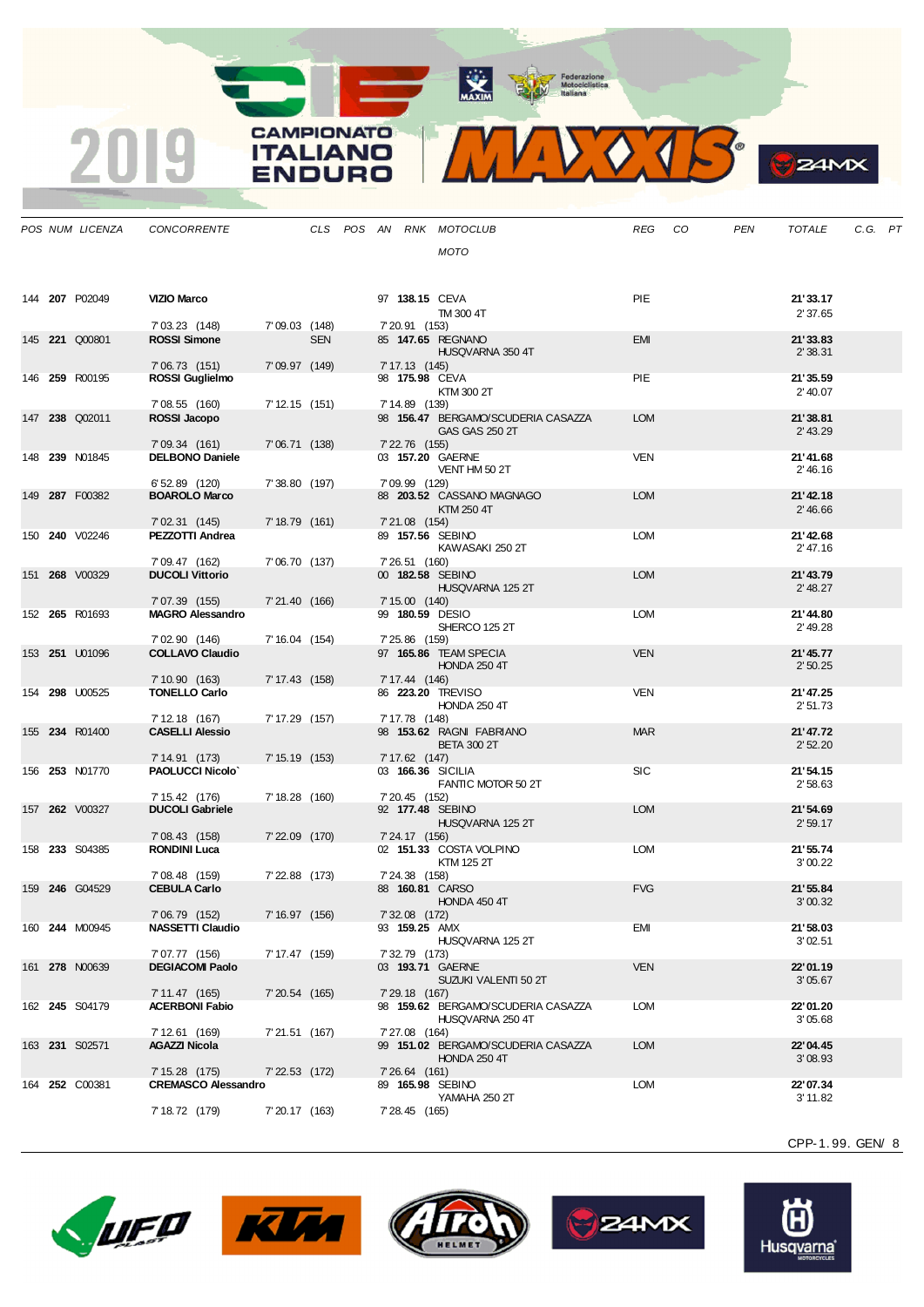Motociclistica

**CAMPIONATO** 

**ITALIANO** 

**ENDURO** 

2019



**O** 

 $24MX$ 

|  | POS NUM LICENZA       | CONCORRENTE                                  |                  |            |  |                | CLS POS AN RNK MOTOCLUB                        | REG        | CO | <b>PEN</b> | <b>TOTALE</b>        | C.G. PT |  |
|--|-----------------------|----------------------------------------------|------------------|------------|--|----------------|------------------------------------------------|------------|----|------------|----------------------|---------|--|
|  |                       |                                              |                  |            |  |                | <b>MOTO</b>                                    |            |    |            |                      |         |  |
|  | 144 207 P02049        | <b>VIZIO Marco</b>                           |                  |            |  |                | 97 138.15 CEVA<br>TM 300 4T                    | PIE        |    |            | 21'33.17<br>2'37.65  |         |  |
|  | 145 221 Q00801        | 7' 03.23 (148)<br><b>ROSSI Simone</b>        | 7'09.03 (148)    | <b>SEN</b> |  | 7' 20.91 (153) | 85 147.65 REGNANO                              | <b>EMI</b> |    |            | 21'33.83             |         |  |
|  |                       | 7'06.73(151)                                 | 7'09.97(149)     |            |  | 7' 17.13 (145) | HUSQVARNA 350 4T                               |            |    |            | 2'38.31              |         |  |
|  | 146 259 R00195        | ROSSI Guglielmo                              |                  |            |  |                | 98 175.98 CEVA<br>KTM 300 2T                   | PIE        |    |            | 21'35.59<br>2' 40.07 |         |  |
|  | 147 238 Q02011        | 7'08.55 (160)<br>ROSSI Jacopo                | 7' 12.15 (151)   |            |  | 7' 14.89 (139) | 98 156.47 BERGAMO/SCUDERIA CASAZZA             | <b>LOM</b> |    |            | 21'38.81             |         |  |
|  |                       | 7' 09.34 (161)                               | 7'06.71(138)     |            |  | 7' 22.76 (155) | <b>GAS GAS 250 2T</b>                          |            |    |            | $2'$ 43.29           |         |  |
|  | 148 239 N01845        | <b>DELBONO Daniele</b>                       |                  |            |  |                | 03 157.20 GAERNE<br>VENT HM 50 2T              | VEN        |    |            | 21'41.68<br>2' 46.16 |         |  |
|  | 149 287 F00382        | 6' 52.89 (120)<br><b>BOAROLO Marco</b>       | 7'38.80 (197)    |            |  | 7' 09.99 (129) | 88 203.52 CASSANO MAGNAGO                      | <b>LOM</b> |    |            | 21'42.18             |         |  |
|  |                       | 7' 02.31 (145)                               | $7' 18.79$ (161) |            |  | 7'21.08 (154)  | KTM 250 4T                                     |            |    |            | 2' 46.66             |         |  |
|  | 150 <b>240</b> V02246 | PEZZOTTI Andrea                              |                  |            |  |                | 89 157.56 SEBINO<br>KAWASAKI 250 2T            | LOM        |    |            | 21'42.68<br>2' 47.16 |         |  |
|  | 151 268 V00329        | 7' 09.47 (162)<br><b>DUCOLI Vittorio</b>     | 7'06.70 (137)    |            |  | 7' 26.51 (160) | 00 182.58 SEBINO                               | <b>LOM</b> |    |            | 21'43.79             |         |  |
|  |                       | 7'07.39 (155)                                | 7'21.40 (166)    |            |  | 7'15.00(140)   | HUSQVARNA 125 2T                               |            |    |            | 2' 48.27             |         |  |
|  | 152 265 R01693        | <b>MAGRO Alessandro</b>                      |                  |            |  |                | 99 180.59 DESIO<br>SHERCO 125 2T               | LOM        |    |            | 21'44.80<br>2' 49.28 |         |  |
|  | 153 251 U01096        | 7'02.90 (146)<br><b>COLLAVO Claudio</b>      | 7' 16.04 (154)   |            |  | 7' 25.86 (159) | 97 165.86 TEAM SPECIA<br><b>HONDA 250 4T</b>   | <b>VEN</b> |    |            | 21'45.77<br>2'50.25  |         |  |
|  |                       | 7' 10.90 (163)                               | 7' 17.43 (158)   |            |  | 7' 17.44 (146) |                                                |            |    |            |                      |         |  |
|  | 154 298 U00525        | <b>TONELLO Carlo</b>                         |                  |            |  |                | 86 223.20 TREVISO<br><b>HONDA 250 4T</b>       | <b>VEN</b> |    |            | 21'47.25<br>2'51.73  |         |  |
|  | 155 234 R01400        | 7' 12.18 (167)<br><b>CASELLI Alessio</b>     | 7' 17.29 (157)   |            |  | 7' 17.78 (148) | 98 153.62 RAGNI FABRIANO<br><b>BETA 300 2T</b> | <b>MAR</b> |    |            | 21'47.72<br>2'52.20  |         |  |
|  |                       | 7' 14.91 (173)                               | 7' 15.19 (153)   |            |  | 7' 17.62 (147) |                                                |            |    |            |                      |         |  |
|  | 156 <b>253</b> N01770 | <b>PAOLUCCI Nicolo'</b>                      |                  |            |  |                | 03 166.36 SICILIA<br>FANTIC MOTOR 50 2T        | <b>SIC</b> |    |            | 21'54.15<br>2'58.63  |         |  |
|  | 157 262 V00327        | 7' 15.42 (176)<br><b>DUCOLI Gabriele</b>     | 7' 18.28 (160)   |            |  | 7' 20.45 (152) | 92 177.48 SEBINO<br>HUSQVARNA 125 2T           | <b>LOM</b> |    |            | 21'54.69<br>2'59.17  |         |  |
|  |                       | 7' 08.43 (158)                               | $7'22.09$ (170)  |            |  | 7' 24.17 (156) |                                                |            |    |            |                      |         |  |
|  | 158 233 S04385        | <b>RONDINI Luca</b>                          |                  |            |  |                | 02 151.33 COSTA VOLPINO<br>KTM 125 2T          | <b>LOM</b> |    |            | 21'55.74<br>3'00.22  |         |  |
|  | 159 246 G04529        | 7'08.48 (159)<br><b>CEBULA Carlo</b>         | 7' 22.88 (173)   |            |  | 7' 24.38 (158) | 88 160.81 CARSO<br>HONDA 450 4T                | <b>FVG</b> |    |            | 21'55.84<br>3'00.32  |         |  |
|  |                       | 7'06.79 (152)                                | 7' 16.97 (156)   |            |  | 7' 32.08 (172) |                                                |            |    |            |                      |         |  |
|  | 160 244 M00945        | <b>NASSETTI Claudio</b>                      |                  |            |  |                | 93 159.25 AMX<br>HUSQVARNA 125 2T              | <b>EMI</b> |    |            | 21'58.03<br>3'02.51  |         |  |
|  | 161 278 N00639        | 7'07.77 (156)<br><b>DEGIACOMI Paolo</b>      | 7' 17.47 (159)   |            |  | 7' 32.79 (173) | 03 193.71 GAERNE<br>SUZUKI VALENTI 50 2T       | <b>VEN</b> |    |            | 22'01.19<br>3'05.67  |         |  |
|  | 162 245 S04179        | 7' 11.47 (165)<br><b>ACERBONI Fabio</b>      | $7'20.54$ (165)  |            |  | 7' 29.18 (167) | 98 159.62 BERGAMO/SCUDERIA CASAZZA             | <b>LOM</b> |    |            | 22'01.20             |         |  |
|  |                       |                                              |                  |            |  |                | HUSQVARNA 250 4T                               |            |    |            | 3'05.68              |         |  |
|  | 163 231 S02571        | 7' 12.61 (169)<br><b>AGAZZI Nicola</b>       | 7'21.51 (167)    |            |  | 7'27.08 (164)  | 99 151.02 BERGAMO/SCUDERIA CASAZZA             | <b>LOM</b> |    |            | 22'04.45             |         |  |
|  |                       |                                              |                  |            |  |                | <b>HONDA 250 4T</b>                            |            |    |            | 3'08.93              |         |  |
|  | 164 252 C00381        | 7' 15.28 (175)<br><b>CREMASCO Alessandro</b> | 7' 22.53 (172)   |            |  | 7' 26.64 (161) | 89 165.98 SEBINO                               | LOM        |    |            | 22'07.34             |         |  |
|  |                       | 7' 18.72 (179)                               | 7' 20.17 (163)   |            |  | 7' 28.45 (165) | YAMAHA 250 2T                                  |            |    |            | 3' 11.82             |         |  |









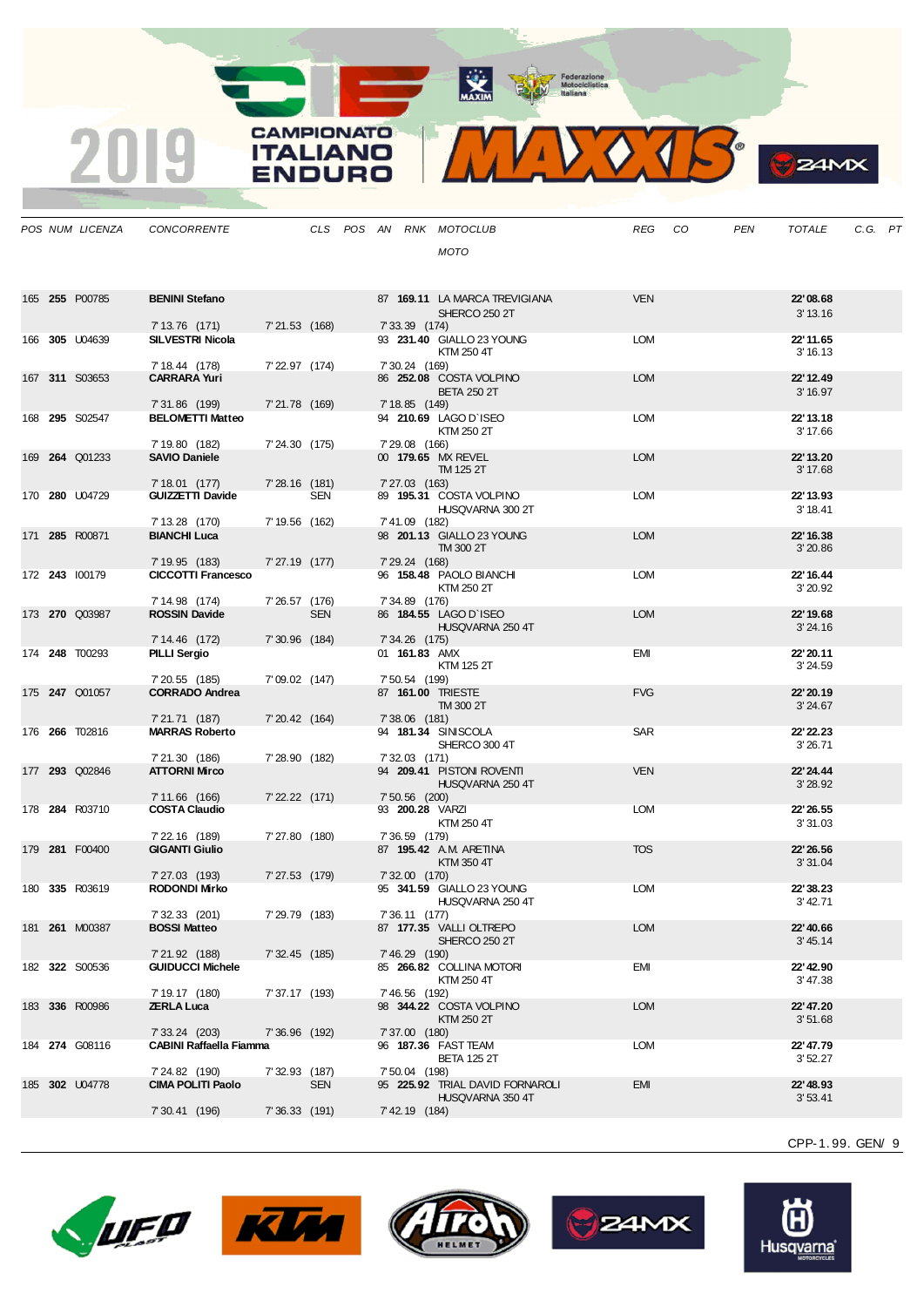**CAMPIONATO** 

**ITALIANO** 

**ENDURO** 

2019



**B**<sub>z</sub>amx

|  | POS NUM LICENZA       | <b>CONCORRENTE</b>                          |                  |            |  |                 | CLS POS AN RNK MOTOCLUB                             | REG        | CO | <b>PEN</b> | <b>TOTALE</b>         | C.G. PT |  |
|--|-----------------------|---------------------------------------------|------------------|------------|--|-----------------|-----------------------------------------------------|------------|----|------------|-----------------------|---------|--|
|  |                       |                                             |                  |            |  |                 | <b>MOTO</b>                                         |            |    |            |                       |         |  |
|  |                       |                                             |                  |            |  |                 |                                                     |            |    |            |                       |         |  |
|  |                       |                                             |                  |            |  |                 |                                                     |            |    |            |                       |         |  |
|  | 165 255 P00785        | <b>BENINI Stefano</b>                       |                  |            |  |                 | 87 169.11 LA MARCA TREVIGIANA                       | <b>VEN</b> |    |            | 22'08.68              |         |  |
|  |                       |                                             |                  |            |  |                 | SHERCO 250 2T                                       |            |    |            | 3' 13.16              |         |  |
|  |                       | 7' 13.76 (171)                              | 7'21.53 (168)    |            |  | 7' 33.39 (174)  |                                                     |            |    |            |                       |         |  |
|  | 166 305 U04639        | <b>SILVESTRI Nicola</b>                     |                  |            |  |                 | 93 231.40 GIALLO 23 YOUNG                           | <b>LOM</b> |    |            | 22' 11.65             |         |  |
|  |                       |                                             |                  |            |  |                 | KTM 250 4T                                          |            |    |            | 3' 16.13              |         |  |
|  |                       | 7' 18.44 (178)                              | 7' 22.97 (174)   |            |  | 7' 30.24 (169)  |                                                     |            |    |            |                       |         |  |
|  | 167 311 S03653        | <b>CARRARA Yuri</b>                         |                  |            |  |                 | 86 252.08 COSTA VOLPINO<br><b>BETA 250 2T</b>       | <b>LOM</b> |    |            | 22' 12.49<br>3' 16.97 |         |  |
|  |                       | 7' 31.86 (199)                              | 7'21.78 (169)    |            |  | 7' 18.85 (149)  |                                                     |            |    |            |                       |         |  |
|  | 168 295 S02547        | <b>BELOMETTI Matteo</b>                     |                  |            |  |                 | 94 210.69 LAGO D'ISEO                               | <b>LOM</b> |    |            | 22' 13.18             |         |  |
|  |                       |                                             |                  |            |  |                 | KTM 250 2T                                          |            |    |            | 3' 17.66              |         |  |
|  |                       | 7' 19.80 (182)                              | 7' 24.30 (175)   |            |  | 7' 29.08 (166)  |                                                     |            |    |            |                       |         |  |
|  | 169 264 Q01233        | <b>SAVIO Daniele</b>                        |                  |            |  |                 | 00 179.65 MX REVEL                                  | <b>LOM</b> |    |            | 22' 13.20             |         |  |
|  |                       | 7' 18.01 (177)                              | $7'28.16$ (181)  |            |  | 7' 27.03 (163)  | TM 125 2T                                           |            |    |            | 3' 17.68              |         |  |
|  | 170 280 U04729        | <b>GUIZZETTI Davide</b>                     |                  | SEN        |  |                 | 89 195.31 COSTA VOLPINO                             | <b>LOM</b> |    |            | 22' 13.93             |         |  |
|  |                       |                                             |                  |            |  |                 | HUSQVARNA 300 2T                                    |            |    |            | 3' 18.41              |         |  |
|  |                       | 7' 13.28 (170)                              | 7' 19.56 (162)   |            |  | 7'41.09 (182)   |                                                     |            |    |            |                       |         |  |
|  | 171 285 R00871        | <b>BIANCHI Luca</b>                         |                  |            |  |                 | 98 201.13 GIALLO 23 YOUNG                           | <b>LOM</b> |    |            | 22' 16.38             |         |  |
|  |                       |                                             |                  |            |  |                 | TM 300 2T                                           |            |    |            | 3'20.86               |         |  |
|  | 172 243 100179        | 7' 19.95 (183)<br><b>CICCOTTI Francesco</b> | 7' 27.19 (177)   |            |  | 7' 29.24 (168)  | 96 158.48 PAOLO BIANCHI                             | <b>LOM</b> |    |            | 22' 16.44             |         |  |
|  |                       |                                             |                  |            |  |                 | KTM 250 2T                                          |            |    |            | 3'20.92               |         |  |
|  |                       | 7' 14.98 (174)                              | 7' 26.57 (176)   |            |  | 7' 34.89 (176)  |                                                     |            |    |            |                       |         |  |
|  | 173 270 Q03987        | <b>ROSSIN Davide</b>                        |                  | <b>SEN</b> |  |                 | 86 184.55 LAGO D'ISEO                               | <b>LOM</b> |    |            | 22' 19.68             |         |  |
|  |                       |                                             |                  |            |  |                 | HUSQVARNA 250 4T                                    |            |    |            | 3'24.16               |         |  |
|  |                       | 7' 14.46 (172)                              | 7'30.96 (184)    |            |  | 7' 34.26 (175)  |                                                     |            |    |            |                       |         |  |
|  | 174 <b>248</b> T00293 | PILLI Sergio                                |                  |            |  | 01 161.83 AMX   | KTM 125 2T                                          | EMI        |    |            | 22' 20.11<br>3'24.59  |         |  |
|  |                       | 7' 20.55 (185)                              | 7'09.02 (147)    |            |  | 7' 50.54 (199)  |                                                     |            |    |            |                       |         |  |
|  | 175 247 Q01057        | <b>CORRADO Andrea</b>                       |                  |            |  |                 | 87 161.00 TRIESTE                                   | <b>FVG</b> |    |            | 22' 20.19             |         |  |
|  |                       |                                             |                  |            |  |                 | TM 300 2T                                           |            |    |            | 3'24.67               |         |  |
|  |                       | 7' 21.71 (187)                              | 7' 20.42 (164)   |            |  | $7'38.06$ (181) |                                                     |            |    |            |                       |         |  |
|  | 176 266 T02816        | <b>MARRAS Roberto</b>                       |                  |            |  |                 | 94 181.34 SINISCOLA<br>SHERCO 300 4T                | <b>SAR</b> |    |            | 22' 22.23<br>3'26.71  |         |  |
|  |                       | 7'21.30 (186)                               | 7' 28.90 (182)   |            |  | 7' 32.03 (171)  |                                                     |            |    |            |                       |         |  |
|  | 177 293 Q02846        | <b>ATTORNI Mirco</b>                        |                  |            |  |                 | 94 209.41 PISTON ROVENTI                            | <b>VEN</b> |    |            | 22' 24.44             |         |  |
|  |                       |                                             |                  |            |  |                 | HUSQVARNA 250 4T                                    |            |    |            | 3'28.92               |         |  |
|  |                       | 7' 11.66 (166)                              | $7' 22.22$ (171) |            |  | 7' 50.56 (200)  |                                                     |            |    |            |                       |         |  |
|  | 178 284 R03710        | <b>COSTA Claudio</b>                        |                  |            |  |                 | 93 200.28 VARZI                                     | <b>LOM</b> |    |            | 22' 26.55             |         |  |
|  |                       | 7' 22.16 (189)                              | 7' 27.80 (180)   |            |  | 7' 36.59 (179)  | KTM 250 4T                                          |            |    |            | 3'31.03               |         |  |
|  | 179 281 F00400        | <b>GIGANTI Giulio</b>                       |                  |            |  |                 | 87 195.42 A.M. ARETINA                              | <b>TOS</b> |    |            | 22' 26.56             |         |  |
|  |                       |                                             |                  |            |  |                 | KTM 350 4T                                          |            |    |            | 3'31.04               |         |  |
|  |                       | 7' 27.03 (193)                              | 7' 27.53 (179)   |            |  | 7' 32.00 (170)  |                                                     |            |    |            |                       |         |  |
|  | 180 335 R03619        | <b>RODONDI Mirko</b>                        |                  |            |  |                 | 95 341.59 GIALLO 23 YOUNG                           | <b>LOM</b> |    |            | 22'38.23              |         |  |
|  |                       | 7' 32.33 (201)                              |                  |            |  |                 | HUSQVARNA 250 4T                                    |            |    |            | 3' 42.71              |         |  |
|  | 181 261 M00387        | <b>BOSSI Matteo</b>                         | 7' 29.79 (183)   |            |  | 7' 36.11 (177)  | 87 177.35 VALLI OLTREPO                             | <b>LOM</b> |    |            | 22' 40.66             |         |  |
|  |                       |                                             |                  |            |  |                 | SHERCO 250 2T                                       |            |    |            | 3' 45.14              |         |  |
|  |                       | 7'21.92 (188)                               | $7'32.45$ (185)  |            |  | 7' 46.29 (190)  |                                                     |            |    |            |                       |         |  |
|  | 182 322 S00536        | <b>GUIDUCCI Michele</b>                     |                  |            |  |                 | 85 266.82 COLLINA MOTORI                            | EMI        |    |            | 22' 42.90             |         |  |
|  |                       |                                             |                  |            |  |                 | KTM 250 4T                                          |            |    |            | 3' 47.38              |         |  |
|  |                       | 7' 19.17 (180)                              | 7' 37.17 (193)   |            |  | 7' 46.56 (192)  | 98 344.22 COSTA VOLPINO                             | <b>LOM</b> |    |            | 22' 47.20             |         |  |
|  | 183 336 R00986        | <b>ZERLA Luca</b>                           |                  |            |  |                 | KTM 250 2T                                          |            |    |            | 3'51.68               |         |  |
|  |                       | 7' 33.24 (203)                              | 7' 36.96 (192)   |            |  | 7'37.00 (180)   |                                                     |            |    |            |                       |         |  |
|  | 184 274 G08116        | <b>CABINI Raffaella Fiamma</b>              |                  |            |  |                 | 96 187.36 FAST TEAM                                 | <b>LOM</b> |    |            | 22' 47.79             |         |  |
|  |                       |                                             |                  |            |  |                 | <b>BETA 125 2T</b>                                  |            |    |            | 3'52.27               |         |  |
|  |                       | 7' 24.82 (190)                              | 7' 32.93 (187)   |            |  | 7' 50.04 (198)  |                                                     |            |    |            |                       |         |  |
|  | 185 302 U04778        | <b>CIMA POLITI Paolo</b>                    |                  | <b>SEN</b> |  |                 | 95 225.92 TRIAL DAVID FORNAROLI<br>HUSQVARNA 350 4T | <b>EMI</b> |    |            | 22' 48.93<br>3'53.41  |         |  |
|  |                       | 7' 30.41 (196)                              | $7'36.33$ (191)  |            |  | 7' 42.19 (184)  |                                                     |            |    |            |                       |         |  |
|  |                       |                                             |                  |            |  |                 |                                                     |            |    |            |                       |         |  |









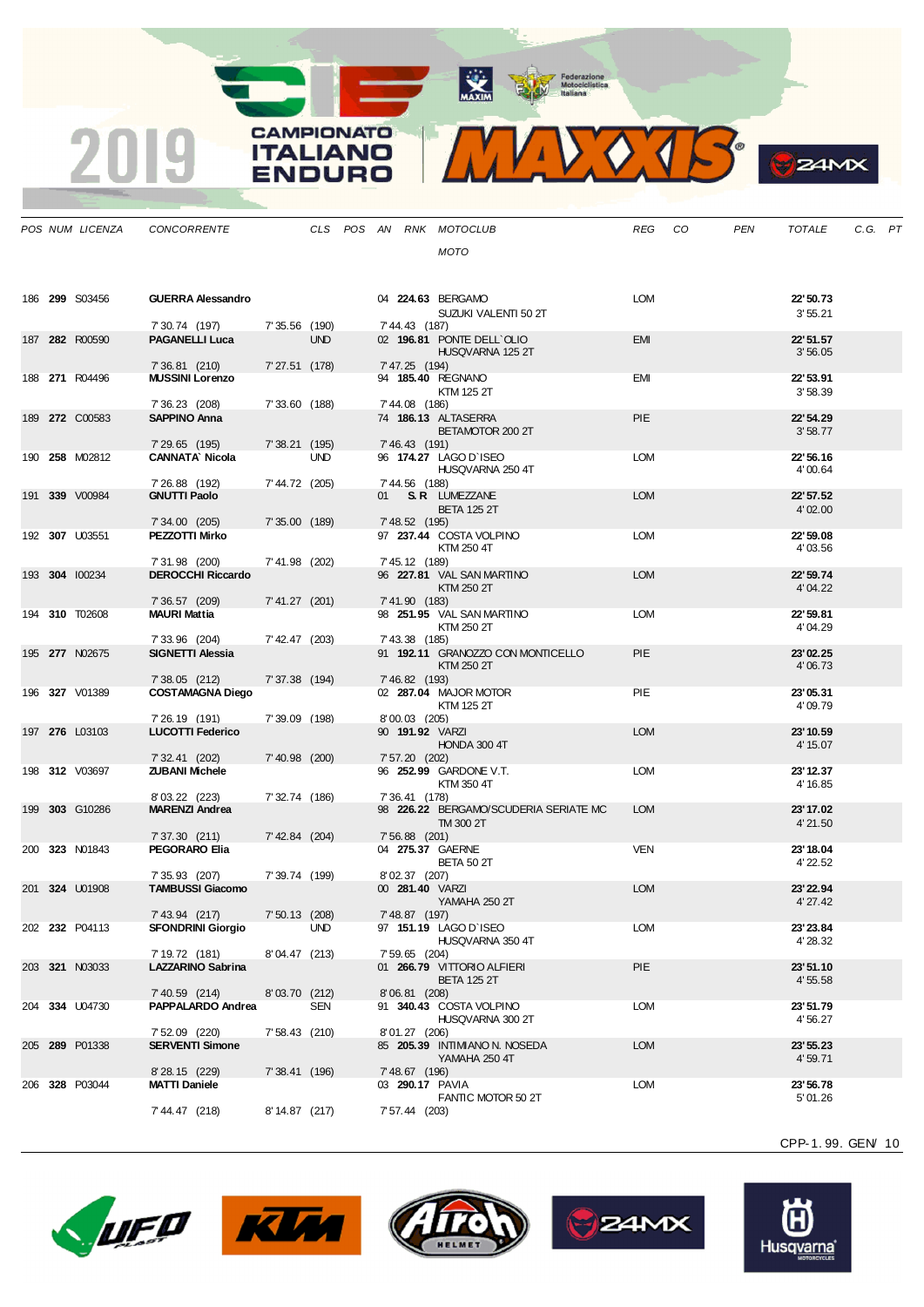**CAMPIONATO** 

**ITALIANO** ENDURO

2019



| <b>ZIMX</b> |
|-------------|
|             |

|  | POS NUM LICENZA       | <b>CONCORRENTE</b>                        |                  |            |  |                 | CLS POS AN RNK MOTOCLUB                            | <b>REG</b> | CO | PEN | <b>TOTALE</b>         | C.G. PT |  |
|--|-----------------------|-------------------------------------------|------------------|------------|--|-----------------|----------------------------------------------------|------------|----|-----|-----------------------|---------|--|
|  |                       |                                           |                  |            |  |                 | <b>MOTO</b>                                        |            |    |     |                       |         |  |
|  |                       |                                           |                  |            |  |                 |                                                    |            |    |     |                       |         |  |
|  | 186 299 S03456        | <b>GUERRA Alessandro</b>                  |                  |            |  |                 | 04 224.63 BERGAMO                                  | <b>LOM</b> |    |     | 22' 50.73             |         |  |
|  |                       |                                           |                  |            |  |                 | SUZUKI VALENTI 50 2T                               |            |    |     | 3'55.21               |         |  |
|  |                       | 7' 30.74 (197)                            | 7'35.56 (190)    |            |  | 7' 44.43 (187)  |                                                    |            |    |     |                       |         |  |
|  | 187 282 R00590        | <b>PAGANELLI Luca</b>                     |                  | <b>UND</b> |  |                 | 02 196.81 PONTE DELL'OLIO<br>HUSQVARNA 125 2T      | <b>EMI</b> |    |     | 22' 51.57<br>3'56.05  |         |  |
|  |                       | 7' 36.81 (210)                            | 7'27.51 (178)    |            |  | 7' 47.25 (194)  |                                                    |            |    |     |                       |         |  |
|  | 188 271 R04496        | <b>MUSSINI Lorenzo</b>                    |                  |            |  |                 | 94 185.40 REGNANO                                  | EMI        |    |     | 22' 53.91             |         |  |
|  |                       | 7' 36.23 (208)                            | 7'33.60 (188)    |            |  | 7' 44.08 (186)  | KTM 125 2T                                         |            |    |     | 3'58.39               |         |  |
|  | 189 272 C00583        | <b>SAPPINO Anna</b>                       |                  |            |  |                 | 74 186.13 ALTASERRA                                | <b>PIE</b> |    |     | 22' 54.29             |         |  |
|  |                       | 7' 29.65 (195)                            |                  |            |  |                 | BETAMOTOR 200 2T                                   |            |    |     | 3'58.77               |         |  |
|  | 190 <b>258</b> M02812 | <b>CANNATA Nicola</b>                     | 7'38.21(195)     | <b>UND</b> |  | 7' 46.43 (191)  | 96 174.27 LAGO D'ISEO                              | LOM        |    |     | 22'56.16              |         |  |
|  |                       |                                           |                  |            |  |                 | HUSQVARNA 250 4T                                   |            |    |     | 4'00.64               |         |  |
|  | 191 339 V00984        | 7' 26.88 (192)<br><b>GNUTTI Paolo</b>     | 7' 44.72 (205)   |            |  | 7' 44.56 (188)  | 01 S.R. LUMEZZANE                                  | <b>LOM</b> |    |     | 22' 57.52             |         |  |
|  |                       |                                           |                  |            |  |                 | <b>BETA 125 2T</b>                                 |            |    |     | 4'02.00               |         |  |
|  |                       | 7' 34.00 (205)                            | 7'35.00 (189)    |            |  | 7' 48.52 (195)  |                                                    |            |    |     | 22' 59.08             |         |  |
|  | 192 307 U03551        | <b>PEZZOTTI Mirko</b>                     |                  |            |  |                 | 97 237.44 COSTA VOLPINO<br>KTM 250 4T              | <b>LOM</b> |    |     | 4'03.56               |         |  |
|  |                       | 7'31.98 (200)                             | 7'41.98 (202)    |            |  | 7' 45.12 (189)  |                                                    |            |    |     |                       |         |  |
|  | 193 304 100234        | <b>DEROCCHI Riccardo</b>                  |                  |            |  |                 | 96 227.81 VAL SAN MARTINO<br>KTM 250 2T            | <b>LOM</b> |    |     | 22' 59.74<br>4'04.22  |         |  |
|  |                       | 7' 36.57 (209)                            | $7' 41.27$ (201) |            |  | 7' 41.90 (183)  |                                                    |            |    |     |                       |         |  |
|  | 194 310 T02608        | <b>MAURI Mattia</b>                       |                  |            |  |                 | 98 251.95 VAL SAN MARTINO                          | <b>LOM</b> |    |     | 22' 59.81             |         |  |
|  |                       | 7' 33.96 (204)                            | 7'42.47 (203)    |            |  | 7' 43.38 (185)  | KTM 250 2T                                         |            |    |     | 4'04.29               |         |  |
|  | 195 277 N02675        | <b>SIGNETTI Alessia</b>                   |                  |            |  |                 | 91 192.11 GRANOZZO CON MONTICELLO                  | <b>PIE</b> |    |     | 23'02.25              |         |  |
|  |                       | $7'38.05$ (212)                           | 7' 37.38 (194)   |            |  | 7' 46.82 (193)  | KTM 250 2T                                         |            |    |     | 4'06.73               |         |  |
|  | 196 327 V01389        | <b>COSTAMAGNA Diego</b>                   |                  |            |  |                 | 02 287.04 MAJOR MOTOR                              | PIE        |    |     | 23'05.31              |         |  |
|  |                       |                                           |                  |            |  |                 | KTM 125 2T                                         |            |    |     | 4'09.79               |         |  |
|  | 197 276 L03103        | 7' 26.19 (191)<br><b>LUCOTTI Federico</b> | 7'39.09 (198)    |            |  | 8'00.03 (205)   | 90 191.92 VARZI                                    | <b>LOM</b> |    |     | 23' 10.59             |         |  |
|  |                       |                                           |                  |            |  |                 | HONDA 300 4T                                       |            |    |     | 4' 15.07              |         |  |
|  | 198 312 V03697        | 7' 32.41 (202)<br><b>ZUBANI Michele</b>   | 7'40.98 (200)    |            |  | 7' 57.20 (202)  | 96 252.99 GARDONE V.T.                             | <b>LOM</b> |    |     | 23' 12.37             |         |  |
|  |                       |                                           |                  |            |  |                 | KTM 350 4T                                         |            |    |     | 4' 16.85              |         |  |
|  |                       | 8'03.22 (223)                             | 7' 32.74 (186)   |            |  | 7' 36.41 (178)  |                                                    |            |    |     |                       |         |  |
|  | 199 303 G10286        | <b>MARENZI Andrea</b>                     |                  |            |  |                 | 98 226.22 BERGAMO/SCUDERIA SERIATE MC<br>TM 300 2T | <b>LOM</b> |    |     | 23' 17.02<br>4'21.50  |         |  |
|  |                       | 7' 37.30 (211)                            | 7' 42.84 (204)   |            |  | $7'56.88$ (201) |                                                    |            |    |     |                       |         |  |
|  | 200 323 N01843        | <b>PEGORARO Elia</b>                      |                  |            |  |                 | 04 275.37 GAERNE<br><b>BETA 50 2T</b>              | <b>VEN</b> |    |     | 23' 18.04<br>4' 22.52 |         |  |
|  |                       | 7' 35.93 (207)                            | 7'39.74 (199)    |            |  | 8'02.37 (207)   |                                                    |            |    |     |                       |         |  |
|  | 201 324 U01908        | <b>TAMBUSSI Giacomo</b>                   |                  |            |  |                 | 00 281.40 VARZI                                    | <b>LOM</b> |    |     | 23'22.94              |         |  |
|  |                       | 7' 43.94 (217)                            | 7' 50.13 (208)   |            |  | 7' 48.87 (197)  | YAMAHA 250 2T                                      |            |    |     | 4' 27.42              |         |  |
|  | 202 232 P04113        | <b>SFONDRINI Giorgio</b>                  |                  | <b>UND</b> |  |                 | 97 151.19 LAGO D'ISEO                              | <b>LOM</b> |    |     | 23' 23.84             |         |  |
|  |                       |                                           |                  |            |  |                 | HUSQVARNA 350 4T                                   |            |    |     | 4'28.32               |         |  |
|  | 203 321 N03033        | 7' 19.72 (181)<br>LAZZARINO Sabrina       | 8'04.47 (213)    |            |  | 7' 59.65 (204)  | 01 266.79 VITTORIO ALFIERI                         | PIE        |    |     | 23'51.10              |         |  |
|  |                       |                                           |                  |            |  |                 | <b>BETA 125 2T</b>                                 |            |    |     | 4'55.58               |         |  |
|  | 204 334 U04730        | 7' 40.59 (214)<br>PAPPALARDO Andrea       | 8'03.70 (212)    | SEN        |  | 8'06.81 (208)   | 91 340.43 COSTA VOLPINO                            | LOM        |    |     | 23'51.79              |         |  |
|  |                       |                                           |                  |            |  |                 | HUSQVARNA 300 2T                                   |            |    |     | 4'56.27               |         |  |
|  |                       | 7' 52.09 (220)                            | 7' 58.43 (210)   |            |  | 8'01.27 (206)   |                                                    |            |    |     |                       |         |  |
|  | 205 289 P01338        | <b>SERVENTI Simone</b>                    |                  |            |  |                 | 85 205.39 INTIMIANO N. NOSEDA<br>YAMAHA 250 4T     | <b>LOM</b> |    |     | 23' 55.23<br>4'59.71  |         |  |
|  |                       | 8' 28.15 (229)                            | 7' 38.41 (196)   |            |  | 7' 48.67 (196)  |                                                    |            |    |     |                       |         |  |
|  | 206 328 P03044        | <b>MATTI Daniele</b>                      |                  |            |  |                 | 03 290.17 PAVIA<br>FANTIC MOTOR 50 2T              | LOM        |    |     | 23'56.78<br>5'01.26   |         |  |
|  |                       | 7' 44.47 (218)                            | 8' 14.87 (217)   |            |  | 7' 57.44 (203)  |                                                    |            |    |     |                       |         |  |
|  |                       |                                           |                  |            |  |                 |                                                    |            |    |     |                       |         |  |











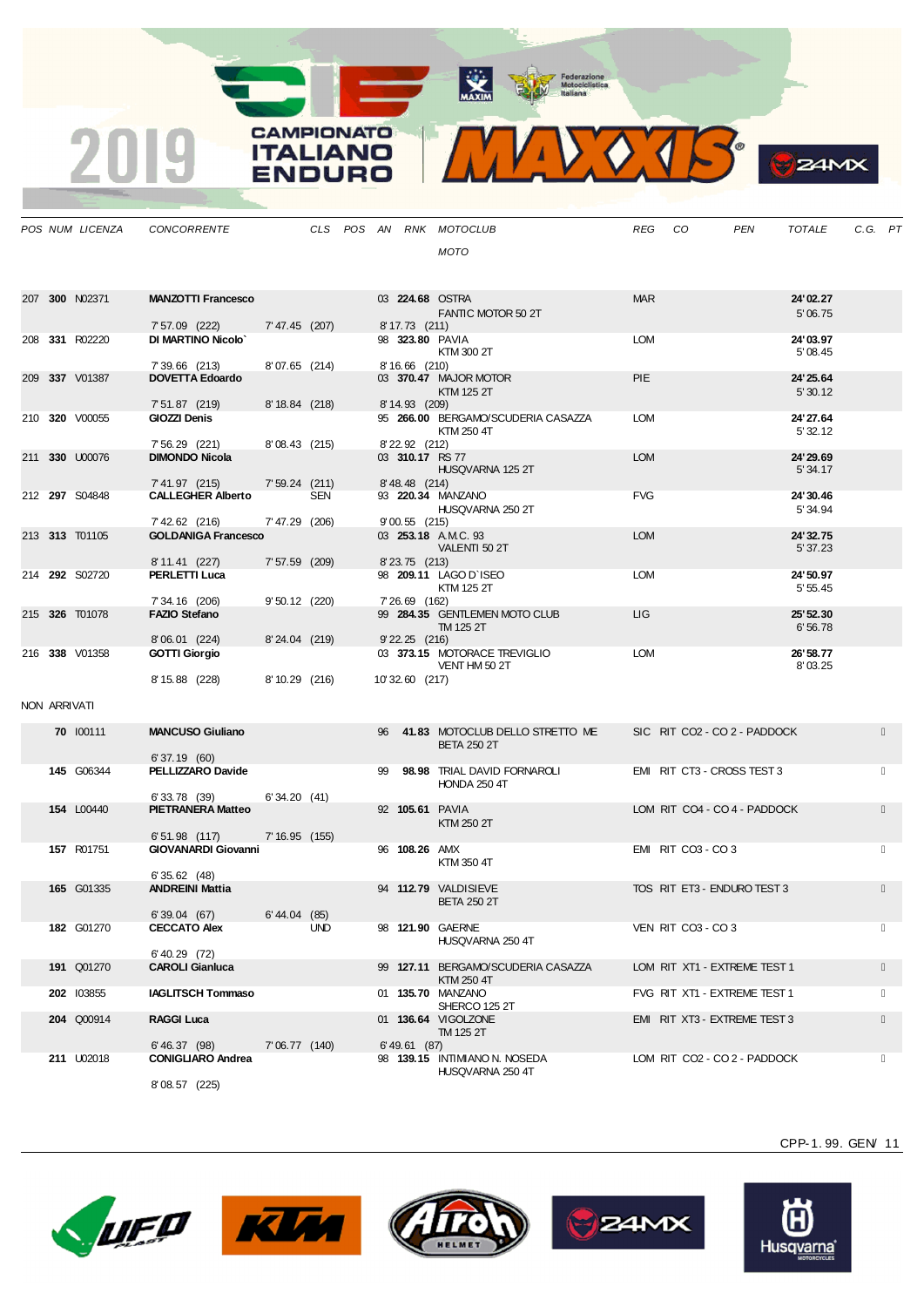**CAMPIONATO** 

**ITALIANO** ENDURO

2019



| חו<br>c |
|---------|
|         |

|              | POS NUM LICENZA   | CONCORRENTE                                |                  |     |    |                    | CLS POS AN RNK MOTOCLUB                               | REG        | CO                           | <b>PEN</b> | <b>TOTALE</b>         | C.G. PT |  |
|--------------|-------------------|--------------------------------------------|------------------|-----|----|--------------------|-------------------------------------------------------|------------|------------------------------|------------|-----------------------|---------|--|
|              |                   |                                            |                  |     |    |                    | <b>MOTO</b>                                           |            |                              |            |                       |         |  |
|              |                   |                                            |                  |     |    |                    |                                                       |            |                              |            |                       |         |  |
|              | 207 300 N02371    | <b>MANZOTTI Francesco</b>                  |                  |     |    |                    | 03 224.68 OSTRA                                       | <b>MAR</b> |                              |            | 24'02.27              |         |  |
|              |                   | 7' 57.09 (222)                             | 7' 47.45 (207)   |     |    | 8' 17.73 (211)     | FANTIC MOTOR 50 2T                                    |            |                              |            | 5'06.75               |         |  |
|              | 208 331 R02220    | <b>DI MARTINO Nicolo'</b>                  |                  |     |    |                    | 98 323.80 PAVIA                                       | <b>LOM</b> |                              |            | 24'03.97              |         |  |
|              |                   | 7'39.66 (213)                              | 8'07.65 (214)    |     |    | 8' 16.66 (210)     | KTM 300 2T                                            |            |                              |            | 5'08.45               |         |  |
|              | 209 337 V01387    | <b>DOVETTA Edoardo</b>                     |                  |     |    |                    | 03 370.47 MAJOR MOTOR                                 | <b>PIE</b> |                              |            | 24' 25.64             |         |  |
|              |                   |                                            |                  |     |    |                    | KTM 125 2T                                            |            |                              |            | 5'30.12               |         |  |
|              | 210 320 V00055    | 7' 51.87 (219)<br>GIOZZI Denis             | $8' 18.84$ (218) |     |    | 8' 14.93 (209)     | 95 266.00 BERGAMO/SCUDERIA CASAZZA                    | <b>LOM</b> |                              |            | 24'27.64              |         |  |
|              |                   |                                            |                  |     |    |                    | KTM 250 4T                                            |            |                              |            | 5' 32.12              |         |  |
|              | 211 330 U00076    | 7' 56.29 (221)<br><b>DIMONDO Nicola</b>    | 8'08.43(215)     |     |    | 8' 22.92 (212)     | 03 310.17 RS 77                                       | <b>LOM</b> |                              |            | 24' 29.69             |         |  |
|              |                   |                                            |                  |     |    |                    | HUSQVARNA 125 2T                                      |            |                              |            | 5' 34.17              |         |  |
|              | 212 297 S04848    | 7' 41.97 (215)<br><b>CALLEGHER Alberto</b> | $7'59.24$ (211)  | SEN |    | 8' 48.48 (214)     | 93 220.34 MANZANO                                     | <b>FVG</b> |                              |            | 24' 30.46             |         |  |
|              |                   |                                            |                  |     |    |                    | HUSQVARNA 250 2T                                      |            |                              |            | 5' 34.94              |         |  |
|              |                   | 7' 42.62 (216)                             | 7' 47.29 (206)   |     |    | $9'00.55$ (215)    |                                                       |            |                              |            |                       |         |  |
|              | 213 313 T01105    | <b>GOLDANIGA Francesco</b>                 |                  |     |    |                    | 03 253.18 A.M.C. 93<br>VALENTI 50 2T                  | <b>LOM</b> |                              |            | 24' 32.75<br>5' 37.23 |         |  |
|              |                   | 8'11.41 (227)                              | $7'57.59$ (209)  |     |    | 8' 23.75 (213)     |                                                       |            |                              |            |                       |         |  |
|              | 214 292 S02720    | <b>PERLETTI Luca</b>                       |                  |     |    |                    | 98 209.11 LAGO D'ISEO<br>KTM 125 2T                   | <b>LOM</b> |                              |            | 24'50.97<br>5'55.45   |         |  |
|              |                   | 7' 34.16 (206)                             | $9'50.12$ (220)  |     |    | 7' 26.69 (162)     |                                                       |            |                              |            |                       |         |  |
|              | 215 326 T01078    | <b>FAZIO Stefano</b>                       |                  |     |    |                    | 99 284.35 GENTLEMEN MOTO CLUB<br>TM 125 2T            | LIG.       |                              |            | 25' 52.30<br>6'56.78  |         |  |
|              |                   | 8'06.01 (224)                              | $8'24.04$ (219)  |     |    | $9'$ 22.25 $(216)$ |                                                       |            |                              |            |                       |         |  |
|              | 216 338 V01358    | <b>GOTTI Giorgio</b>                       |                  |     |    |                    | 03 373.15 MOTORACE TREVIGLIO<br>VENT HM 50 2T         | <b>LOM</b> |                              |            | 26' 58.77<br>8'03.25  |         |  |
|              |                   | 8' 15.88 (228)                             | 8'10.29(216)     |     |    | 10'32.60 (217)     |                                                       |            |                              |            |                       |         |  |
| NON ARRIVATI |                   |                                            |                  |     |    |                    |                                                       |            |                              |            |                       |         |  |
|              |                   |                                            |                  |     |    |                    |                                                       |            |                              |            |                       |         |  |
|              | 70 100111         | <b>MANCUSO Giuliano</b>                    |                  |     | 96 |                    | 41.83 MOTOCLUB DELLO STRETTO ME<br><b>BETA 250 2T</b> |            | SIC RIT CO2 - CO 2 - PADDOCK |            |                       |         |  |
|              |                   | 6'37.19(60)                                |                  |     |    |                    |                                                       |            |                              |            |                       |         |  |
|              | 145 G06344        | PELLIZZARO Davide                          |                  |     | 99 |                    | 98.98 TRIAL DAVID FORNAROLI<br><b>HONDA 250 4T</b>    |            | EMI RIT CT3 - CROSS TEST 3   |            |                       |         |  |
|              |                   | 6'33.78(39)                                | 6'34.20(41)      |     |    |                    |                                                       |            |                              |            |                       |         |  |
|              | 154 L00440        | <b>PIETRANERA Matteo</b>                   |                  |     |    |                    | 92 105.61 PAVIA                                       |            | LOM RIT CO4 - CO 4 - PADDOCK |            |                       |         |  |
|              |                   | $6'51.98$ (117)                            | 7'16.95(155)     |     |    |                    | KTM 250 2T                                            |            |                              |            |                       |         |  |
|              | 157 R01751        | <b>GIOVANARDI Giovanni</b>                 |                  |     |    | 96 108.26 AMX      |                                                       |            | EMI RIT CO3 - CO 3           |            |                       |         |  |
|              |                   | 6'35.62(48)                                |                  |     |    |                    | KTM 350 4T                                            |            |                              |            |                       |         |  |
|              | 165 G01335        | <b>ANDREINI Mattia</b>                     |                  |     |    |                    | 94 112.79 VALDISIEVE                                  |            | TOS RIT ET3 - ENDURO TEST 3  |            |                       |         |  |
|              |                   | 6'39.04(67)                                | 6'44.04 (85)     |     |    |                    | <b>BETA 250 2T</b>                                    |            |                              |            |                       |         |  |
|              | <b>182 G01270</b> | <b>CECCATO Alex</b>                        |                  | UND |    |                    | 98 121.90 GAERNE                                      |            | VEN RIT CO3 - CO 3           |            |                       |         |  |
|              |                   | $6'$ 40.29 $(72)$                          |                  |     |    |                    | HUSQVARNA 250 4T                                      |            |                              |            |                       |         |  |
|              | 191 Q01270        | <b>CAROLI Gianluca</b>                     |                  |     |    |                    | 99 127.11 BERGAMO/SCUDERIA CASAZZA                    |            | LOM RIT XT1 - EXTREME TEST 1 |            |                       |         |  |
|              | 202 103855        | <b>IAGLITSCH Tommaso</b>                   |                  |     |    |                    | KTM 250 4T<br>01 135.70 MANZANO                       |            | FVG RIT XT1 - EXTREME TEST 1 |            |                       |         |  |
|              |                   |                                            |                  |     |    |                    | SHERCO 125 2T                                         |            |                              |            |                       |         |  |
|              | 204 Q00914        | <b>RAGGI Luca</b>                          |                  |     |    |                    | 01 136.64 VIGOLZONE<br>TM 125 2T                      |            | EMI RIT XT3 - EXTREME TEST 3 |            |                       |         |  |
|              |                   | 6' 46.37 (98)                              | 7' 06.77 (140)   |     |    | 6' 49.61 (87)      |                                                       |            |                              |            |                       |         |  |
|              | 211 U02018        | <b>CONIGLIARO Andrea</b>                   |                  |     |    |                    | 98 139.15 INTIMIANO N. NOSEDA<br>HUSQVARNA 250 4T     |            | LOM RIT CO2 - CO 2 - PADDOCK |            |                       |         |  |
|              |                   | 8'08.57 (225)                              |                  |     |    |                    |                                                       |            |                              |            |                       |         |  |